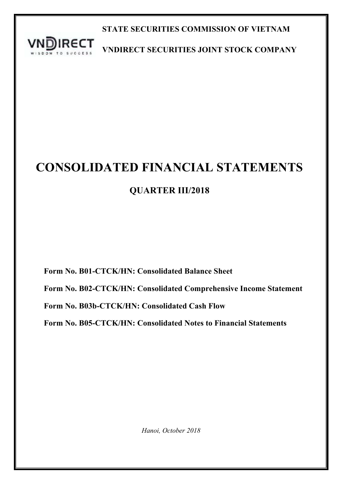

**STATE SECURITIES COMMISSION OF VIETNAM**

**VNDIRECT SECURITIES JOINT STOCK COMPANY**

# **CONSOLIDATED FINANCIAL STATEMENTS**

## **QUARTER III/2018**

**Form No. B01-CTCK/HN: Consolidated Balance Sheet**

**Form No. B02-CTCK/HN: Consolidated Comprehensive Income Statement**

**Form No. B03b-CTCK/HN: Consolidated Cash Flow**

**Form No. B05-CTCK/HN: Consolidated Notes to Financial Statements**

*Hanoi, October 2018*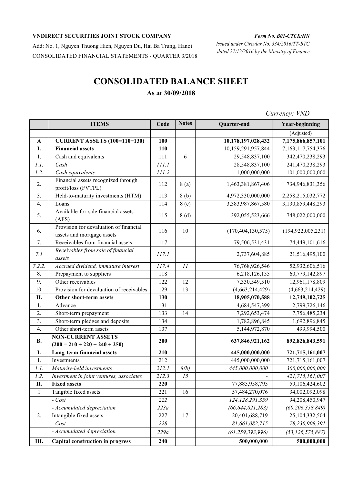Add: No. 1, Nguyen Thuong Hien, Nguyen Du, Hai Ba Trung, Hanoi CONSOLIDATED FINANCIAL STATEMENTS - QUARTER 3/2018

## *Form No. B01-CTCK/HN Issued under Circular No. 334/2016/TT-BTC*

*dated 27/12/2016 by the Ministry of Finance*

## **CONSOLIDATED BALANCE SHEET As at 30/09/2018**

### **ITEMS Code Notes Quarter-end Year-beginning** (Adjusted) **A CURRENT ASSETS (100=110+130) 100 10,178,197,028,432 7,175,866,857,101 I. Financial assets 110** 10,159,291,957,844 7,163,117,754,376 1. Cash and equivalents 111 6 29,548,837,100 342,470,238,293 *1.1. Cash 111.1* 28,548,837,100 241,470,238,293 *1.2. Cash equivalents 111.2* 1,000,000,000 101,000,000,000 2. Financial assets recognized through profit/loss (FVTPL) 112 8 (a) 1,463,381,867,406 734,946,831,356 3. Held-to-maturity investments (HTM) 113 8 (b) 4,972,330,000,000 2,258,215,032,772 4. Loans 114 8 (c) 3,383,987,867,580 3,130,859,448,293 5. Available-for-sale financial assets  $(AFS)$ (AFS)  $(AFS)$  115  $(8(d)$  392,055,523,666 748,022,000,000  $\overline{6}$ . Provision for devaluation of financial assets and mortgage assets 116 10 (170,404,130,575) (194,922,005,231) 7. Receivables from financial assets 117 79,506,531,431 74,449,101,616 *7.1 Receivables from sale of financial assets 117.1* 2,737,604,885 21,516,495,100 *7.2.2. Accrued dividend, immature interest 117.4 11* 76,768,926,546 52,932,606,516 8. Prepayment to suppliers 118 6,218,126,155 60,779,142,897 9. Other receivables 122 12 7,330,549,510 12,961,178,809 10. Provision for devaluation of receivables 129 13 (4,663,214,429) (4,663,214,429) **II. Other short-term assets 130 18,905,070,588 12,749,102,725** 1. Advance 131 131 4,684,547,399 2,799,726,146 2. Short-term prepayment 133 14 7,292,653,474 7,756,485,234 3. Short-term pledges and deposits 134 1,782,896,845 1,692,896,845 4. Other short-term assets 137 137 5,144,972,870 499,994,500 **B. NON-CURRENT ASSETS**  $(200 = 210 + 220 + 240 + 250)$  **200 637,846,921,162 892,826,843,591 I. Long-term financial assets 210 445,000,000,000 721,715,161,007** 1. Investments 212 445,000,000,000 721,715,161,007 *1.1. Maturity-held investments 212.1 8(b) 445,000,000,000 300,000,000,000 1.2. Investment in joint ventures, associates 212.3 15 - 421,715,161,007* **II. Fixed assets 220** 77,885,958,795 59,106,424,602 1 | Tangible fixed assets | 221 | 16 | 57,484,270,076 | 34,002,092,098 *- Cost 222 124,128,291,359* 94,208,450,947 *- Accumulated depreciation 223a (66,644,021,283) (60,206,358,849)* 2. Intangible fixed assets 227 17 20,401,688,719 25,104,332,504

*- Cost 228 81,661,082,715 78,230,908,391 - Accumulated depreciation 229a (61,259,393,996) (53,126,575,887)*

**III. Capital construction in progress 240 500,000,000 500,000,000**

*Currency: VND*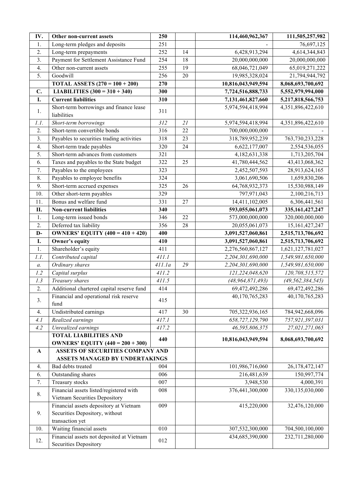| IV.              | Other non-current assets                                           | 250    |    | 114,460,962,367     | 111,505,257,982     |
|------------------|--------------------------------------------------------------------|--------|----|---------------------|---------------------|
| 1.               | Long-term pledges and deposits                                     | 251    |    |                     | 76,697,125          |
| 2.               | Long-term prepayments                                              | 252    | 14 | 6,428,913,294       | 4,614,344,843       |
| 3.               | Payment for Settlement Assistance Fund                             | 254    | 18 | 20,000,000,000      | 20,000,000,000      |
| 4.               | Other non-current assets                                           | 255    | 19 | 68,046,721,049      | 65,019,271,222      |
| $\overline{5}$ . | Goodwill                                                           | 256    | 20 | 19,985,328,024      | 21,794,944,792      |
|                  | <b>TOTAL ASSETS</b> $(270 = 100 + 200)$                            | 270    |    | 10,816,043,949,594  | 8,068,693,700,692   |
| C.               | LIABILITIES $(300 = 310 + 340)$                                    | 300    |    | 7,724,516,888,733   | 5,552,979,994,000   |
| I.               | <b>Current liabilities</b>                                         | 310    |    | 7,131,461,827,660   | 5,217,818,566,753   |
| 1.               | Short-term borrowings and finance lease                            | 311    |    | 5,974,594,418,994   | 4,351,896,422,610   |
|                  | liabilities                                                        |        |    |                     |                     |
| 1. I.            | Short-term borrowings                                              | 312    | 21 | 5,974,594,418,994   | 4,351,896,422,610   |
| 2.               | Short-term convertible bonds                                       | 316    | 22 | 700,000,000,000     |                     |
| 3.               | Payables to securities trading activities                          | 318    | 23 | 318,789,952,239     | 763,730,233,228     |
| 4.               | Short-term trade payables                                          | 320    | 24 | 6,622,177,007       | 2,554,536,055       |
| 5.               | Short-term advances from customers                                 | 321    |    | 4,182,631,338       | 1,713,205,704       |
| 6.               | Taxes and payables to the State budget                             | 322    | 25 | 41,780,444,562      | 43,413,068,362      |
| 7.               | Payables to the employees                                          | 323    |    | 2,452,507,593       | 28,913,624,165      |
| 8.               | Payables to employee benefits                                      | 324    |    | 3,061,690,506       | 1,659,830,206       |
| 9.               | Short-term accrued expenses                                        | 325    | 26 | 64,768,932,373      | 15,530,988,149      |
| 10.              | Other short-term payables                                          | 329    |    | 797,971,043         | 2,100,216,713       |
| 11.              | Bonus and welfare fund                                             | 331    | 27 | 14,411,102,005      | 6,306,441,561       |
| II.              | <b>Non-current liabilities</b>                                     | 340    |    | 593,055,061,073     | 335, 161, 427, 247  |
| 1.               | Long-term issued bonds                                             | 346    | 22 | 573,000,000,000     | 320,000,000,000     |
| 2.               | Deferred tax liability                                             | 356    | 28 | 20,055,061,073      | 15,161,427,247      |
| D-               | <b>OWNERS' EQUITY</b> $(400 = 410 + 420)$                          | 400    |    | 3,091,527,060,861   | 2,515,713,706,692   |
| I.               | Owner's equity                                                     | 410    |    | 3,091,527,060,861   | 2,515,713,706,692   |
| 1.               | Shareholder's equity                                               | 411    |    | 2,276,560,867,127   | 1,621,127,781,027   |
| 1.1.             | Contributed capital                                                | 411.1  |    | 2,204,301,690,000   | 1,549,981,650,000   |
| $a$ .            | Ordinary shares                                                    | 411.1a | 29 | 2,204,301,690,000   | 1,549,981,650,000   |
| 1.2              | Capital surplus                                                    | 411.2  |    | 121,224,048,620     | 120,708,515,572     |
| 1.3              | Treasury shares                                                    | 411.5  |    | (48, 964, 871, 493) | (49, 562, 384, 545) |
| 2.               | Additional chartered capital reserve fund                          | 414    |    | 69,472,492,286      | 69,472,492,286      |
| 3.               | Financial and operational risk reserve<br>fund                     | 415    |    | 40,170,765,283      | 40,170,765,283      |
| 4.               | Undistributed earnings                                             | 417    | 30 | 705,322,936,165     | 784,942,668,096     |
| 4.1              | Realized earnings                                                  | 417.1  |    | 658,727,129,790     | 757,921,397,031     |
| 4.2              | Unrealized earnings                                                | 417.2  |    | 46,595,806,375      | 27,021,271,065      |
|                  | <b>TOTAL LIABILITIES AND</b>                                       |        |    |                     |                     |
|                  | <b>OWNERS' EQUITY (440 = 200 + 300)</b>                            | 440    |    | 10,816,043,949,594  | 8,068,693,700,692   |
| $\mathbf A$      | ASSETS OF SECURITIES COMPANY AND                                   |        |    |                     |                     |
|                  | ASSETS MANAGED BY UNDERTAKINGS                                     |        |    |                     |                     |
| 4.               | Bad debts treated                                                  | 004    |    | 101,986,716,060     | 26,178,472,147      |
| 6.               | Outstanding shares                                                 | 006    |    | 216,481,639         | 150,997,774         |
| 7.               | Treasury stocks                                                    | 007    |    | 3,948,530           | 4,000,391           |
|                  | Financial assets listed/registered with                            | 008    |    | 376,441,300,000     | 330,135,030,000     |
| 8.               | Vietnam Securities Depository                                      |        |    |                     |                     |
|                  | Financial assets depository at Vietnam                             | 009    |    | 415,220,000         | 32,476,120,000      |
| 9.               | Securities Depository, without                                     |        |    |                     |                     |
|                  | transaction yet                                                    |        |    |                     |                     |
| 10.              | Waiting financial assets                                           | 010    |    | 307,532,300,000     | 704,500,100,000     |
| 12.              | Financial assets not deposited at Vietnam<br>Securities Depository | 012    |    | 434,685,390,000     | 232,711,280,000     |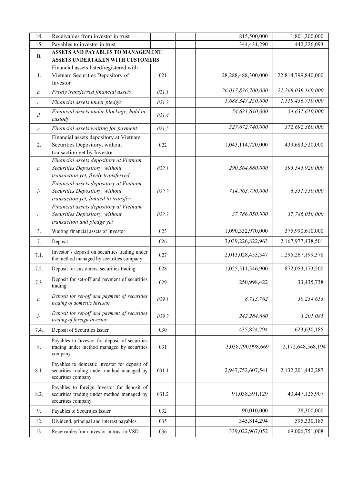| 14.            | Receivables from investor in trust                                                         |       | 815,500,000        | 1,801,200,000      |
|----------------|--------------------------------------------------------------------------------------------|-------|--------------------|--------------------|
| 15.            | Payables to investor in trust                                                              |       | 344,431,290        | 442,226,093        |
| <b>B.</b>      | <b>ASSETS AND PAYABLES TO MANAGEMENT</b>                                                   |       |                    |                    |
|                | ASSETS UNDERTAKEN WITH CUSTOMERS                                                           |       |                    |                    |
|                | Financial assets listed/registered with                                                    |       |                    |                    |
| 1.             | Vietnam Securities Depository of                                                           | 021   | 28,288,488,300,000 | 22,814,799,840,000 |
|                | Investor                                                                                   |       |                    |                    |
| $a$ .          | Freely transferred financial assets                                                        | 021.1 | 26,017,836,700,000 | 21,268,039,160,000 |
| $\mathcal{C}.$ | Financial assets under pledge                                                              | 021.3 | 1,688,347,250,000  | 1,119,436,710,000  |
| d.             | Financial assets under blockage, hold in<br>custody                                        | 021.4 | 54,631,610,000     | 54,631,610,000     |
| e.             | Financial assets waiting for payment                                                       | 021.5 | 527,672,740,000    | 372,692,360,000    |
|                | Financial assets depository at Vietnam                                                     |       |                    |                    |
| 2.             | Securities Depository, without                                                             | 022   | 1,043,114,720,000  | 439,683,520,000    |
|                | transaction yet by Investor                                                                |       |                    |                    |
|                | Financial assets depository at Vietnam                                                     |       |                    |                    |
| $a$ .          | Securities Depository, without                                                             | 022.1 | 290,364,880,000    | 395,545,920,000    |
|                | transaction yet, freely transferred                                                        |       |                    |                    |
|                | Financial assets depository at Vietnam                                                     |       |                    |                    |
| b.             | Securities Depository, without<br>transaction yet, limited to transfer                     | 022.2 | 714,963,790,000    | 6,351,550,000      |
|                | Financial assets depository at Vietnam                                                     |       |                    |                    |
| c.             | Securities Depository, without                                                             | 022.3 | 37,786,050,000     | 37,786,050,000     |
|                | transaction and pledge yet                                                                 |       |                    |                    |
| 3.             | Waiting financial assets of Investor                                                       | 023   | 1,090,332,970,000  | 375,990,610,000    |
| 7.             | Deposit                                                                                    | 026   | 3,039,226,822,963  | 2,167,977,438,501  |
|                |                                                                                            |       |                    |                    |
| 7.1.           | Investor's deposit on securities trading under<br>the method managed by securities company | 027   | 2,013,028,453,347  | 1,295,267,199,378  |
| 7.2.           | Deposit for customers, securities trading                                                  | 028   | 1,025,511,546,900  | 872,053,173,200    |
|                |                                                                                            |       |                    |                    |
| 7.3.           | Deposit for set-off and payment of securities<br>trading                                   | 029   | 250,998,422        | 33,435,738         |
| $a$ .          | Deposit for set-off and payment of securities<br>trading of domestic Investor              | 029.1 | 8,713,762          | 30,234,653         |
|                | Deposit for set-off and payment of securities                                              |       |                    |                    |
| b.             | trading of foreign Investor                                                                | 029.2 | 242,284,660        | 3,201,085          |
| 7.4.           | Deposit of Securities Issuer                                                               | 030   | 435,824,294        | 623, 630, 185      |
|                | Payables to Investor for deposit of securities                                             |       |                    |                    |
| 8.             | trading under method managed by securities<br>company                                      | 031   | 3,038,790,998,669  | 2,172,648,568,194  |
|                |                                                                                            |       |                    |                    |
| 8.1.           | Payables to domestic Investor for deposit of<br>securities trading under method managed by | 031.1 | 2,947,752,607,541  | 2,132,201,442,287  |
|                | securities company                                                                         |       |                    |                    |
|                | Payables to foreign Investor for deposit of                                                |       |                    |                    |
| 8.2.           | securities trading under method managed by                                                 | 031.2 | 91,038,391,129     | 40,447,125,907     |
|                | securities company                                                                         |       |                    |                    |
| 9.             | Payables to Securities Issuer                                                              | 032   | 90,010,000         | 28,300,000         |
| 12.            | Dividend, principal and interest payables                                                  | 035   | 345,814,294        | 595,330,185        |
| 13.            | Receivables from investor in trust in VSD                                                  | 036   | 339,022,967,052    | 69,006,751,008     |
|                |                                                                                            |       |                    |                    |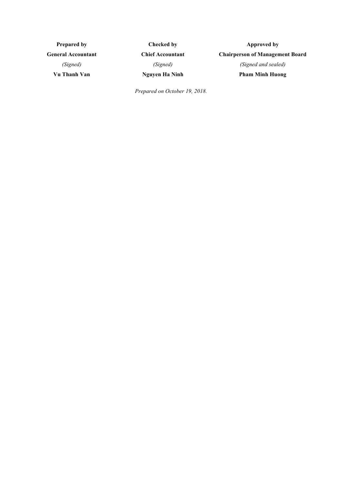**Prepared by General Accountant** *(Signed)* **Vu Thanh Van**

**Checked by Chief Accountant** *(Signed)* **Nguyen Ha Ninh**

**Approved by Chairperson of Management Board** *(Signed and sealed)* **Pham Minh Huong**

*Prepared on October 19, 2018.*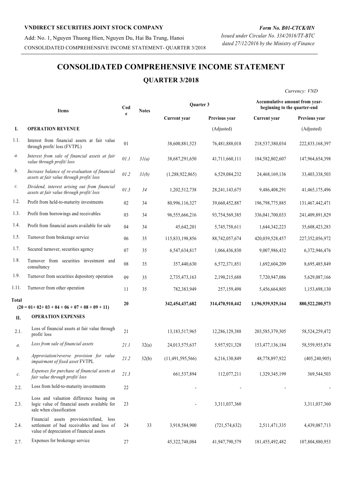Add: No. 1, Nguyen Thuong Hien, Nguyen Du, Hai Ba Trung, Hanoi CONSOLIDATED COMPREHENSIVE INCOME STATEMENT- QUARTER 3/2018

## **CONSOLIDATED COMPREHENSIVE INCOME STATEMENT QUARTER 3/2018**

*Currency: VND*

| Items |                                                                                                                                   | Cod<br>e | <b>Notes</b> | Quarter 3           |                   | Accumulative amount from year-<br>beginning to the quarter-end |                 |  |
|-------|-----------------------------------------------------------------------------------------------------------------------------------|----------|--------------|---------------------|-------------------|----------------------------------------------------------------|-----------------|--|
|       |                                                                                                                                   |          |              | Current year        | Previous year     | Current year                                                   | Previous year   |  |
| Ι.    | <b>OPERATION REVENUE</b>                                                                                                          |          |              |                     | (Adjusted)        |                                                                | (Adjusted)      |  |
| 1.1.  | Interest from financial assets at fair value<br>through profit/ loss (FVTPL)                                                      | 01       |              | 38,600,881,523      | 76,481,888,018    | 218,537,380,034                                                | 222,833,168,397 |  |
| а.    | Interest from sale of financial assets at fair<br>value through profit/loss                                                       | 01.1     | 31(a)        | 38,687,291,650      | 41,711,660,111    | 184,582,802,607                                                | 147,964,654,398 |  |
| b.    | Increase balance of re-evaluation of financial<br>assets at fair value through profit/loss                                        | 01.2     | 31(b)        | (1,288,922,865)     | 6,529,084,232     | 24,468,169,136                                                 | 33,403,338,503  |  |
| c.    | Dividend, interest arising out from financial<br>assets at fair value through profit/loss                                         | 01.3     | 34           | 1,202,512,738       | 28, 241, 143, 675 | 9,486,408,291                                                  | 41,465,175,496  |  |
| 1.2.  | Profit from held-to-maturity investments                                                                                          | 02       | 34           | 80,996,116,327      | 39,660,452,887    | 196,798,775,885                                                | 131,467,442,471 |  |
| 1.3.  | Profit from borrowings and receivables                                                                                            | 03       | 34           | 96,555,666,216      | 93,754,569,385    | 336,041,700,033                                                | 241,409,891,829 |  |
| 1.4.  | Profit from financial assets available for sale                                                                                   | 04       | 34           | 45,642,201          | 5,745,758,611     | 1,644,342,223                                                  | 35,608,423,283  |  |
| 1.5.  | Turnover from brokerage service                                                                                                   | 06       | 35           | 115,833,198,856     | 88,742,057,674    | 420,039,528,457                                                | 227,352,056,972 |  |
| 1.7.  | Secured turnover, securities agency                                                                                               | 07       | 35           | 6,547,634,817       | 1,066,436,830     | 9,007,986,432                                                  | 6,372,946,476   |  |
| 1.8.  | Turnover from securities investment and<br>consultancy                                                                            | 08       | 35           | 357,440,630         | 6,572,371,851     | 1,692,604,209                                                  | 8,695,485,849   |  |
| 1.9.  | Turnover from securities depository operation                                                                                     | 09       | 35           | 2,735,473,163       | 2,190,215,688     | 7,720,947,086                                                  | 5,629,087,166   |  |
| 1.11. | Turnover from other operation                                                                                                     | 11       | 35           | 782,383,949         | 257,159,498       | 5,456,664,805                                                  | 1,153,698,130   |  |
| Total | $(20 = 01 + 02 + 03 + 04 + 06 + 07 + 08 + 09 + 11)$                                                                               | 20       |              | 342, 454, 437, 682  | 314,470,910,442   | 1,196,939,929,164                                              | 880,522,200,573 |  |
| II.   | <b>OPERATION EXPENSES</b>                                                                                                         |          |              |                     |                   |                                                                |                 |  |
| 2.1.  | Loss of financial assets at fair value through<br>profit/loss                                                                     | 21       |              | 13,183,517,965      | 12,286,129,388    | 203, 585, 379, 305                                             | 58,524,259,472  |  |
| $a$ . | Loss from sale of financial assets                                                                                                | 21.1     | 32(a)        | 24,013,575,637      | 5,957,921,328     | 153,477,136,184                                                | 58,559,955,874  |  |
| b.    | Approviation/reverse provision for value<br>impairment of fixed asset FVTPL                                                       | 21.2     | 32(b)        | (11, 491, 595, 566) | 6,216,130,849     | 48,778,897,922                                                 | (405, 240, 905) |  |
| с.    | Expenses for purchase of financial assets at<br>fair value through profit/loss                                                    | 21.3     |              | 661,537,894         | 112,077,211       | 1,329,345,199                                                  | 369,544,503     |  |
| 2.2.  | Loss from held-to-maturity investments                                                                                            | 22       |              |                     |                   |                                                                |                 |  |
| 2.3.  | Loss and valuation difference basing on<br>logic value of financial assets available for<br>sale when classification              | 23       |              |                     | 3,311,037,360     |                                                                | 3,311,037,360   |  |
| 2.4.  | Financial assets provision/refund, loss<br>settlement of bad receivables and loss of<br>value of depreciation of financial assets | 24       | 33           | 3,918,584,900       | (721, 574, 632)   | 2,511,471,335                                                  | 4,439,087,713   |  |
| 2.7.  | Expenses for brokerage service                                                                                                    | 27       |              | 45,322,748,084      | 41,947,790,579    | 181,455,492,482                                                | 107,804,880,953 |  |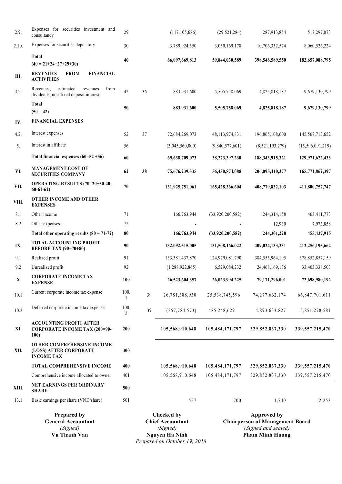| <b>Prepared by</b><br><b>General Accountant</b><br>(Signed)<br>Vu Thanh Van |                                                                                     |           |    | <b>Checked by</b><br><b>Chief Accountant</b><br>(Signed)<br><b>Nguyen Ha Ninh</b><br>$2010$ |                                   | <b>Approved by</b><br><b>Chairperson of Management Board</b><br>(Signed and sealed)<br><b>Pham Minh Huong</b> |                                        |  |
|-----------------------------------------------------------------------------|-------------------------------------------------------------------------------------|-----------|----|---------------------------------------------------------------------------------------------|-----------------------------------|---------------------------------------------------------------------------------------------------------------|----------------------------------------|--|
| 13.1                                                                        | Basic earnings per share (VND/share)                                                | 501       |    | 557                                                                                         | 700                               | 1,740                                                                                                         | 2,253                                  |  |
| XIII.                                                                       | NET EARNINGS PER ORDINARY<br><b>SHARE</b>                                           | 500       |    |                                                                                             |                                   |                                                                                                               |                                        |  |
|                                                                             | Comprehensive income allocated to owner                                             | 401       |    | 105,568,910.648                                                                             | 105,484,171,797                   | 329,852,837,330                                                                                               | 339, 557, 215, 470                     |  |
|                                                                             | <b>TOTAL COMPREHENSIVE INCOME</b>                                                   | 400       |    | 105,568,910,648                                                                             | 105,484,171,797                   | 329,852,837,330                                                                                               | 339, 557, 215, 470                     |  |
| XII.                                                                        | OTHER COMPREHENSIVE INCOME<br>(LOSS) AFTER CORPORATE<br><b>INCOME TAX</b>           | 300       |    |                                                                                             |                                   |                                                                                                               |                                        |  |
| XI.                                                                         | <b>ACCOUNTING PROFIT AFTER</b><br><b>CORPORATE INCOME TAX (200=90-</b><br>100)      | 200       |    | 105,568,910,648                                                                             | 105,484,171,797                   | 329,852,837,330                                                                                               | 339, 557, 215, 470                     |  |
| 10.2                                                                        | Deferred corporate income tax expense                                               | 100.<br>2 | 39 | (257, 784, 573)                                                                             | 485,248,629                       | 4,893,633.827                                                                                                 | 5,851,278,581                          |  |
| 10.1                                                                        | Current corporate income tax expense                                                | 100.      | 39 | 26,781,388,930                                                                              | 25,538,745,596                    | 74, 277, 662, 174                                                                                             | 66,847,701,611                         |  |
| X                                                                           | <b>CORPORATE INCOME TAX</b><br><b>EXPENSE</b>                                       | 100       |    | 26,523,604,357                                                                              | 26,023,994,225                    | 79,171,296,001                                                                                                | 72,698,980,192                         |  |
| 9.2                                                                         | Unrealized profit                                                                   | 92        |    | (1,288,922,865)                                                                             | 6,529,084,232                     | 24,468,169,136                                                                                                | 33,403,338,503                         |  |
| 9.1                                                                         | Realized profit                                                                     | 91        |    | 133,381,437,870                                                                             | 124,979,081,790                   | 384,555,964,195                                                                                               | 378, 852, 857, 159                     |  |
| IX.                                                                         | <b>TOTAL ACCOUNTING PROFIT</b><br><b>BEFORE TAX (90=70+80)</b>                      | 90        |    | 132,092,515,005                                                                             | 131,508,166,022                   | 409,024,133,331                                                                                               | 412,256,195,662                        |  |
|                                                                             | Total other operating results $(80 = 71-72)$                                        | 80        |    | 166,763,944                                                                                 | (33,920,200,582)                  | 244,301,228                                                                                                   | 455, 437, 915                          |  |
| 8.2                                                                         | Other expenses                                                                      | 72        |    |                                                                                             |                                   | 12,930                                                                                                        | 7,973,858                              |  |
| 8.1                                                                         | <b>EXPENSES</b><br>Other income                                                     | 71        |    | 166,763,944                                                                                 | (33,920,200,582)                  | 244,314,158                                                                                                   | 463,411,773                            |  |
| VIII.                                                                       | $60-61-62$<br><b>OTHER INCOME AND OTHER</b>                                         |           |    |                                                                                             |                                   |                                                                                                               |                                        |  |
| VII.                                                                        | <b>SECURITIES COMPANY</b><br>OPERATING RESULTS (70=20+50-40-                        | 70        |    | 131,925,751,061                                                                             | 165,428,366,604                   | 408,779,832,103                                                                                               | 411,800,757,747                        |  |
| VI.                                                                         | <b>MANAGEMENT COST OF</b>                                                           | 60<br>62  | 38 | 69,638,709,073<br>75,676,239,335                                                            | 38,273,397,230<br>56,430,874,088  | 188, 343, 915, 321<br>206,095,410,377                                                                         | 129,971,622,433<br>165,771,862,397     |  |
|                                                                             | Total financial expenses $(60=52+56)$                                               |           |    |                                                                                             |                                   |                                                                                                               |                                        |  |
| 4.2.<br>5.                                                                  | Interest in affiliate                                                               | 52<br>56  | 37 | 72,684,269,073<br>(3,045,560,000)                                                           | 48,113,974,831<br>(9,840,577,601) | 196,865,108,600<br>(8,521,193,279)                                                                            | 145, 567, 713, 652<br>(15,596,091,219) |  |
| IV.                                                                         | <b>FINANCIAL EXPENSES</b><br>Interest expenses                                      |           |    |                                                                                             |                                   |                                                                                                               |                                        |  |
|                                                                             | Total<br>$(50 = 42)$                                                                | 50        |    | 883,931,600                                                                                 | 5,505,758,069                     | 4,825,818,187                                                                                                 | 9,679,130,799                          |  |
| 3.2.                                                                        | estimated<br>revenues<br>from<br>Revenues.<br>dividends, non-fixed deposit interest | 42        | 36 | 883,931,600                                                                                 | 5,505,758,069                     | 4,825,818,187                                                                                                 | 9,679,130,799                          |  |
| Ш.                                                                          | <b>FROM</b><br><b>FINANCIAL</b><br><b>REVENUES</b><br><b>ACTIVITIES</b>             |           |    |                                                                                             |                                   |                                                                                                               |                                        |  |
|                                                                             | Total<br>$(40 = 21 + 24 + 27 + 29 + 30)$                                            | 40        |    | 66,097,669,813                                                                              | 59,844,030,589                    | 398,546,589,550                                                                                               | 182,657,088,795                        |  |
| 2.10.                                                                       | Expenses for securities depository                                                  | $30\,$    |    | 3,789,924,550                                                                               | 3,050,169,178                     | 10,706,332,574                                                                                                | 8,060,526,224                          |  |
| 2.9.                                                                        | Expenses for securities investment and<br>consultancy                               | 29        |    | (117, 105, 686)                                                                             | (29, 521, 284)                    | 287,913,854                                                                                                   | 517,297,073                            |  |

*Prepared on October 19, 2018*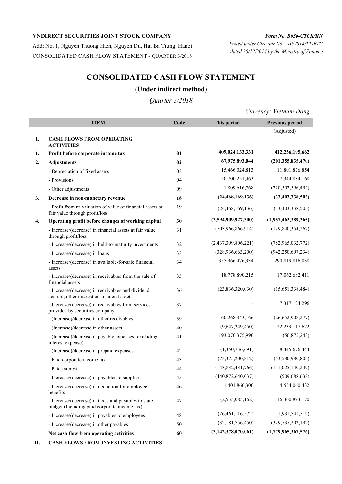Add: No. 1, Nguyen Thuong Hien, Nguyen Du, Hai Ba Trung, Hanoi CONSOLIDATED CASH FLOW STATEMENT - QUARTER 3/2018

*Form No. B03b-CTCK/HN Issued under Circular No. 210/2014/TT-BTC dated 30/12/2014 by the Ministry of Finance*

## **CONSOLIDATED CASH FLOW STATEMENT**

#### **(Under indirect method)**

*Quarter 3/2018*

*Currency: Vietnam Dong*

|    | <b>ITEM</b>                                                                                          | Code | This period             | <b>Previous period</b> |
|----|------------------------------------------------------------------------------------------------------|------|-------------------------|------------------------|
|    |                                                                                                      |      |                         | (Adjusted)             |
| I. | <b>CASH FLOWS FROM OPERATING</b><br><b>ACTIVITIES</b>                                                |      |                         |                        |
| 1. | Profit before corporate income tax                                                                   | 01   | 409,024,133,331         | 412,256,195,662        |
| 2. | <b>Adjustments</b>                                                                                   | 02   | 67,975,893,044          | (201, 355, 835, 470)   |
|    | - Depreciation of fixed assets                                                                       | 03   | 15,466,024,813          | 11,801,876,854         |
|    | - Provisions                                                                                         | 04   | 50,700,251,463          | 7,344,884,168          |
|    | - Other adjustments                                                                                  | 09   | 1,809,616,768           | (220, 502, 596, 492)   |
| 3. | Decrease in non-monetary revenue                                                                     | 18   | (24, 468, 169, 136)     | (33, 403, 338, 503)    |
|    | - Profit from re-valuation of value of financial assets at<br>fair value through profit/loss         | 19   | (24, 468, 169, 136)     | (33, 403, 338, 503)    |
| 4. | Operating profit before changes of working capital                                                   | 30   | (3,594,909,927,300)     | (1,957,462,389,265)    |
|    | - Increase/(decrease) in financial assets at fair value<br>through profit/loss                       | 31   | (703,966,866,914)       | (129, 840, 354, 267)   |
|    | - Increase/(decrease) in held-to-maturity investments                                                | 32   | (2,437,399,806,221)     | (782, 965, 032, 772)   |
|    | - Increase/(decrease) in loans                                                                       | 33   | (328, 936, 663, 200)    | (942, 250, 697, 234)   |
|    | - Increase/(decrease) in available-for-sale financial<br>assets                                      | 34   | 355,966,476,334         | 290,819,816,038        |
|    | - Increase/(decrease) in receivables from the sale of<br>financial assets                            | 35   | 18,778,890,215          | 17,062,682,411         |
|    | - Increase/(decrease) in receivables and dividend<br>accrual, other interest on financial assets     | 36   | (23,836,320,030)        | (15,651,338,484)       |
|    | - Increase/(decrease) in receivables from services<br>provided by securities company                 | 37   |                         | 7,317,124,296          |
|    | - (Increase)/decrease in other receivables                                                           | 39   | 60,268,343,166          | (26,652,908,277)       |
|    | - (Increase)/decrease in other assets                                                                | 40   | (9,647,249,450)         | 122,239,117,622        |
|    | - (Increase)/decrease in payable expenses (excluding<br>interest expense)                            | 41   | 193,070,375,990         | (56,875,243)           |
|    | - (Increase)/decrease in prepaid expenses                                                            | 42   | (1,350,736,691)         | 8,445,676,444          |
|    | - Paid corporate income tax                                                                          | 43   | (73,375,200,812)        | (53,580,980,803)       |
|    | - Paid interest                                                                                      | 44   | (143, 832, 431, 766)    | (141, 025, 140, 249)   |
|    | - Increase/(decrease) in payables to suppliers                                                       | 45   | (440,872,640,037)       | (509, 688, 638)        |
|    | - Increase/(decrease) in deduction for employee<br>benefits                                          | 46   | 1,401,860,300           | 4,554,060,432          |
|    | - Increase/(decrease) in taxes and payables to state<br>budget (Including paid corporate income tax) | 47   | (2,535,085,162)         | 16,300,893,170         |
|    | - Increase/(decrease) in payables to employees                                                       | 48   | (26,461,116,572)        | (1,931,541,519)        |
|    | - Increase/(decrease) in other payables                                                              | 50   | (32, 181, 756, 450)     | (329, 737, 202, 192)   |
|    | Net cash flow from operating activities                                                              | 60   | (3, 142, 378, 070, 061) | (1,779,965,367,576)    |

**II. CASH FLOWS FROM INVESTING ACTIVITIES**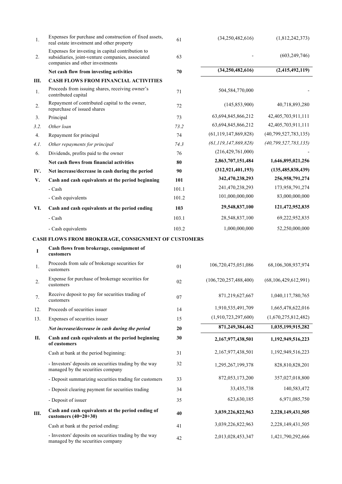| 1.   | Expenses for purchase and construction of fixed assets,<br>real estate investment and other property                                      | 61    | (34,250,482,616)          | (1,812,242,373)          |
|------|-------------------------------------------------------------------------------------------------------------------------------------------|-------|---------------------------|--------------------------|
| 2.   | Expenses for investing in capital contribution to<br>subsidiaries, joint-venture companies, associated<br>companies and other investments | 63    |                           | (603, 249, 746)          |
|      | Net cash flow from investing activities                                                                                                   | 70    | (34,250,482,616)          | (2,415,492,119)          |
| Ш.   | <b>CASH FLOWS FROM FINANCIAL ACTIVITIES</b>                                                                                               |       |                           |                          |
| 1.   | Proceeds from issuing shares, receiving owner's<br>contributed capital                                                                    | 71    | 504,584,770,000           |                          |
| 2.   | Repayment of contributed capital to the owner,<br>repurchase of issued shares                                                             | 72    | (145, 853, 900)           | 40,718,893,280           |
| 3.   | Principal                                                                                                                                 | 73    | 63,694,845,866,212        | 42,405,703,911,111       |
| 3.2. | Other loan                                                                                                                                | 73.2  | 63,694,845,866,212        | 42,405,703,911,111       |
| 4.   | Repayment for principal                                                                                                                   | 74    | (61, 119, 147, 869, 828)  | (40,799,527,783,135)     |
| 4.1. | Other repayments for principal                                                                                                            | 74.3  | (61, 119, 147, 869, 828)  | (40, 799, 527, 783, 135) |
| 6.   | Dividends, profits paid to the owner                                                                                                      | 76    | (216, 429, 761, 000)      |                          |
|      | Net cash flows from financial activities                                                                                                  | 80    | 2,863,707,151,484         | 1,646,895,021,256        |
| IV.  | Net increase/decrease in cash during the period                                                                                           | 90    | (312, 921, 401, 193)      | (135, 485, 838, 439)     |
| V.   | Cash and cash equivalents at the period beginning                                                                                         | 101   | 342,470,238,293           | 256,958,791,274          |
|      | - Cash                                                                                                                                    | 101.1 | 241,470,238,293           | 173,958,791,274          |
|      | - Cash equivalents                                                                                                                        | 101.2 | 101,000,000,000           | 83,000,000,000           |
| VI.  | Cash and cash equivalents at the period ending                                                                                            | 103   | 29,548,837,100            | 121,472,952,835          |
|      | - Cash                                                                                                                                    | 103.1 | 28,548,837,100            | 69,222,952,835           |
|      | - Cash equivalents                                                                                                                        | 103.2 | 1,000,000,000             | 52,250,000,000           |
|      | CASH FLOWS FROM BROKERAGE, CONSIGNMENT OF CUSTOMERS                                                                                       |       |                           |                          |
| I    | Cash flows from brokerage, consignment of<br>customers                                                                                    |       |                           |                          |
| 1.   | Proceeds from sale of brokerage securities for<br>customers                                                                               | 01    | 106,720,475,051,086       | 68,106,308,937,974       |
| 2.   | Expense for purchase of brokerage securities for<br>customers                                                                             | 02    | (106, 720, 257, 488, 400) | (68, 106, 429, 612, 991) |
| 7.   | Receive deposit to pay for securities trading of<br>customers                                                                             | 07    | 871,219,627,667           | 1,040,117,780,765        |
| 12.  | Proceeds of securities issuer                                                                                                             | 14    | 1,910,535,491,709         | 1,665,478,622,016        |
| 13.  | Expenses of securities issuer                                                                                                             | 15    | (1,910,723,297,600)       | (1,670,275,812,482)      |
|      | Net increase/decrease in cash during the period                                                                                           | 20    | 871,249,384,462           | 1,035,199,915,282        |
| П.   | Cash and cash equivalents at the period beginning<br>of customers                                                                         | 30    | 2,167,977,438,501         | 1,192,949,516,223        |
|      | Cash at bank at the period beginning:                                                                                                     | 31    | 2,167,977,438,501         | 1,192,949,516,223        |
|      | - Investors' deposits on securities trading by the way<br>managed by the securities company                                               | 32    | 1,295,267,199,378         | 828,810,828,201          |
|      | - Deposit summarizing securities trading for customers                                                                                    | 33    | 872,053,173,200           | 357,027,018,800          |
|      | - Deposit clearing payment for securities trading                                                                                         | 34    | 33,435,738                | 140,583,472              |
|      | - Deposit of issuer                                                                                                                       | 35    | 623, 630, 185             | 6,971,085,750            |
| Ш.   | Cash and cash equivalents at the period ending of<br>customers $(40=20+30)$                                                               | 40    | 3,039,226,822,963         | 2,228,149,431,505        |
|      | Cash at bank at the period ending:                                                                                                        | 41    | 3,039,226,822,963         | 2,228,149,431,505        |
|      | - Investors' deposits on securities trading by the way<br>managed by the securities company                                               | 42    | 2,013,028,453,347         | 1,421,790,292,666        |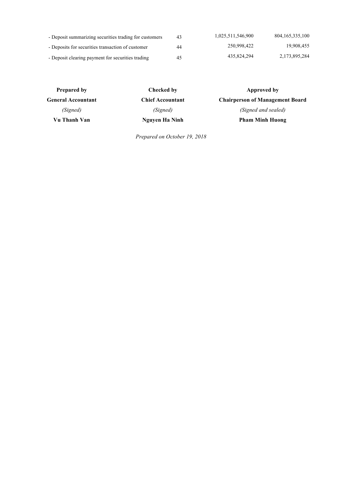| - Deposit summarizing securities trading for customers | 43 | 1,025,511,546,900 | 804, 165, 335, 100 |
|--------------------------------------------------------|----|-------------------|--------------------|
| - Deposits for securities transaction of customer      | 44 | 250,998,422       | 19.908.455         |
| - Deposit clearing payment for securities trading      | 45 | 435,824,294       | 2,173,895,284      |

| <b>Prepared by</b>        | Checked by              | Approved by                            |
|---------------------------|-------------------------|----------------------------------------|
| <b>General Accountant</b> | <b>Chief Accountant</b> | <b>Chairperson of Management Board</b> |
| (Signed)                  | (Signed)                | (Signed and sealed)                    |
| Vu Thanh Van              | Nguyen Ha Ninh          | <b>Pham Minh Huong</b>                 |

*Prepared on October 19, 2018*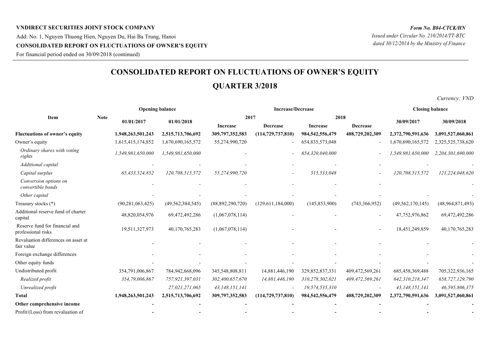## **VNDIRECT SECURITIES JOINT STOCK COMPANY** Add: No. 1, Nguyen Thuong Hien, Nguyen Du, Hai Ba Trung, Hanoi **CONSOLIDATED REPORT ON FLUCTUATIONS OF OWNER'S EQUITY**

For financial period ended on 30/09/2018 (continued)

## **CONSOLIDATED REPORT ON FLUCTUATIONS OF OWNER'S EQUITY**

## **QUARTER 3/2018**

*Currency: VND*

|                                                      |             |                     | <b>Opening balance</b> |                  | <b>Increase/Decrease</b> | <b>Closing balance</b> |                 |                     |                   |  |
|------------------------------------------------------|-------------|---------------------|------------------------|------------------|--------------------------|------------------------|-----------------|---------------------|-------------------|--|
| Item                                                 | <b>Note</b> | 01/01/2017          | 01/01/2018             | 2017<br>2018     |                          |                        |                 |                     |                   |  |
|                                                      |             |                     |                        | Increase         | Decrease                 | <b>Increase</b>        | <b>Decrease</b> | 30/09/2017          | 30/09/2018        |  |
| <b>Fluctuations of owner's equity</b>                |             | 1,948,263,501,243   | 2,515,713,706,692      | 309,797,352,583  | (114, 729, 737, 810)     | 984, 542, 556, 479     | 408,729,202,309 | 2,372,790,591,636   | 3,091,527,060,861 |  |
| Owner's equity                                       |             | 1,615,415,174,852   | 1,670,690,165,572      | 55,274,990,720   |                          | 654,835,573,048        |                 | 1,670,690,165,572   | 2,325,525,738,620 |  |
| Ordinary shares with voting<br>rights                |             | 1,549,981,650,000   | 1,549,981,650,000      |                  |                          | 654,320,040,000        |                 | 1,549,981,650,000   | 2,204,301,690,000 |  |
| Additional capital                                   |             |                     |                        |                  |                          |                        |                 |                     |                   |  |
| Capital surplus                                      |             | 65,433,524,852      | 120,708,515,572        | 55,274,990,720   |                          | 515,533,048            |                 | 120,708,515,572     | 121,224,048,620   |  |
| Conversion options on<br>convertible bonds           |             |                     |                        |                  |                          |                        |                 |                     |                   |  |
| Other capital                                        |             |                     |                        |                  |                          |                        |                 |                     |                   |  |
| Treasury stocks (*)                                  |             | (90, 281, 063, 425) | (49, 562, 384, 545)    | (88,892,290,720) | (129,611,184,000)        | (145, 853, 900)        | (743, 366, 952) | (49, 562, 170, 145) | (48,964,871,493)  |  |
| Additional reserve fund of charter<br>capital        |             | 48,820,054,976      | 69,472,492,286         | (1,067,078,114)  |                          |                        |                 | 47,752,976,862      | 69,472,492,286    |  |
| Reserve fund for financial and<br>professional risks |             | 19,511,327,973      | 40,170,765,283         | (1,067,078,114)  |                          |                        |                 | 18,451,249,859      | 40,170,765,283    |  |
| Revaluation differences on asset at<br>fair value    |             |                     |                        |                  |                          |                        |                 |                     |                   |  |
| Foreign exchange differences                         |             |                     |                        |                  |                          |                        |                 |                     |                   |  |
| Other equity funds                                   |             |                     |                        |                  |                          |                        |                 |                     |                   |  |
| Undistributed profit                                 |             | 354,791,006,867     | 784,942,668,096        | 345,548,808,811  | 14,881,446,190           | 329,852,837,331        | 409,472,569,261 | 685,458,369,488     | 705,322,936,165   |  |
| Realized profit                                      |             | 354,79,006,867      | 757,921,397,031        | 302,400,657,670  | 14,881,446,190           | 310,278,302,021        | 409,472,569,261 | 642,310,218,347     | 658,727,129,790   |  |
| Unrealized profit                                    |             |                     | 27,021,271,065         | 43,148,151,141   |                          | 19,574,535,310         |                 | 43,148,151,141      | 46,595,806,375    |  |
| <b>Total</b>                                         |             | 1,948,263,501,243   | 2,515,713,706,692      | 309,797,352,583  | (114, 729, 737, 810)     | 984, 542, 556, 479     | 408,729,202,309 | 2,372,790,591,636   | 3,091,527,060,861 |  |
| Other comprehensive income                           |             |                     |                        |                  |                          |                        |                 |                     |                   |  |
| Profit/(Loss) from revaluation of                    |             |                     |                        |                  |                          |                        |                 |                     |                   |  |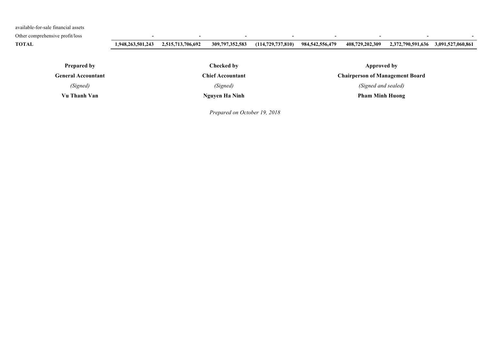available-for-sale financial assets

Other comprehensive profit/loss **- - - - - - - -**

**TOTAL 1,948,263,501,243 2,515,713,706,692 309,797,352,583 (114,729,737,810) 984,542,556,479 408,729,202,309 2,372,790,591,636 3,091,527,060,861**

**Prepared by** 

**General Accountant**

*(Signed)*

**Vu Thanh Van**

**Checked by**

**Chief Accountant**

**Nguyen Ha Ninh**

*Prepared on October 19, 2018*

**Approved by**

**Chairperson of Management Board**

*(Signed and sealed)*

**Pham Minh Huong**

*(Signed)*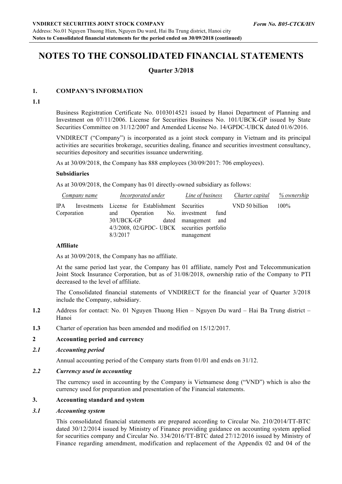## **NOTES TO THE CONSOLIDATED FINANCIAL STATEMENTS**

### **Quarter 3/2018**

#### **1. COMPANY'S INFORMATION**

**1.1**

Business Registration Certificate No. 0103014521 issued by Hanoi Department of Planning and Investment on 07/11/2006. License for Securities Business No. 101/UBCK-GP issued by State Securities Committee on 31/12/2007 and Amended License No. 14/GPDC-UBCK dated 01/6/2016.

VNDIRECT ("Company") is incorporated as a joint stock company in Vietnam and its principal activities are securities brokerage, securities dealing, finance and securities investment consultancy, securities depository and securities issuance underwriting.

As at 30/09/2018, the Company has 888 employees (30/09/2017: 706 employees).

#### **Subsidiaries**

As at 30/09/2018, the Company has 01 directly-owned subsidiary as follows:

| Company name |                                                  | Incorporated under                           |  |  | Line of business Charter capital % ownership |                                 |      |                |         |
|--------------|--------------------------------------------------|----------------------------------------------|--|--|----------------------------------------------|---------------------------------|------|----------------|---------|
| <b>IPA</b>   | Investments License for Establishment Securities |                                              |  |  |                                              |                                 |      | VND 50 billion | $100\%$ |
| Corporation  |                                                  |                                              |  |  |                                              | and Operation No. investment    | fund |                |         |
|              |                                                  |                                              |  |  |                                              | 30/UBCK-GP dated management and |      |                |         |
|              |                                                  | 4/3/2008, 02/GPDC- UBCK securities portfolio |  |  |                                              |                                 |      |                |         |
|              |                                                  | 8/3/2017                                     |  |  |                                              | management                      |      |                |         |

#### **Affiliate**

As at 30/09/2018, the Company has no affiliate.

At the same period last year, the Company has 01 affiliate, namely Post and Telecommunication Joint Stock Insurance Corporation, but as of 31/08/2018, ownership ratio of the Company to PTI decreased to the level of affiliate.

The Consolidated financial statements of VNDIRECT for the financial year of Quarter 3/2018 include the Company, subsidiary.

- **1.2** Address for contact: No. 01 Nguyen Thuong Hien Nguyen Du ward Hai Ba Trung district Hanoi
- **1.3** Charter of operation has been amended and modified on 15/12/2017.

#### **2 Accounting period and currency**

*2.1 Accounting period*

Annual accounting period of the Company starts from 01/01 and ends on 31/12.

#### *2.2 Currency used in accounting*

The currency used in accounting by the Company is Vietnamese dong ("VND") which is also the currency used for preparation and presentation of the Financial statements.

#### **3. Accounting standard and system**

#### *3.1 Accounting system*

This consolidated financial statements are prepared according to Circular No. 210/2014/TT-BTC dated 30/12/2014 issued by Ministry of Finance providing guidance on accounting system applied for securities company and Circular No. 334/2016/TT-BTC dated 27/12/2016 issued by Ministry of Finance regarding amendment, modification and replacement of the Appendix 02 and 04 of the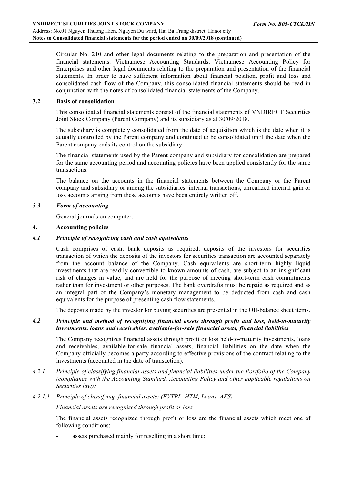Circular No. 210 and other legal documents relating to the preparation and presentation of the financial statements. Vietnamese Accounting Standards, Vietnamese Accounting Policy for Enterprises and other legal documents relating to the preparation and presentation of the financial statements. In order to have sufficient information about financial position, profit and loss and consolidated cash flow of the Company, this consolidated financial statements should be read in conjunction with the notes of consolidated financial statements of the Company.

#### **3.2 Basis of consolidation**

This consolidated financial statements consist of the financial statements of VNDIRECT Securities Joint Stock Company (Parent Company) and its subsidiary as at 30/09/2018.

The subsidiary is completely consolidated from the date of acquisition which is the date when it is actually controlled by the Parent company and continued to be consolidated until the date when the Parent company ends its control on the subsidiary.

The financial statements used by the Parent company and subsidiary for consolidation are prepared for the same accounting period and accounting policies have been applied consistently for the same transactions.

The balance on the accounts in the financial statements between the Company or the Parent company and subsidiary or among the subsidiaries, internal transactions, unrealized internal gain or loss accounts arising from these accounts have been entirely written off.

#### *3.3 Form of accounting*

General journals on computer.

#### **4. Accounting policies**

#### *4.1 Principle of recognizing cash and cash equivalents*

Cash comprises of cash, bank deposits as required, deposits of the investors for securities transaction of which the deposits of the investors for securities transaction are accounted separately from the account balance of the Company. Cash equivalents are short-term highly liquid investments that are readily convertible to known amounts of cash, are subject to an insignificant risk of changes in value, and are held for the purpose of meeting short-term cash commitments rather than for investment or other purposes. The bank overdrafts must be repaid as required and as an integral part of the Company's monetary management to be deducted from cash and cash equivalents for the purpose of presenting cash flow statements.

The deposits made by the investor for buying securities are presented in the Off-balance sheet items.

#### *4.2 Principle and method of recognizing financial assets through profit and loss, held-to-maturity investments, loans and receivables, available-for-sale financial assets, financial liabilities*

The Company recognizes financial assets through profit or loss held-to-maturity investments, loans and receivables, available-for-sale financial assets, financial liabilities on the date when the Company officially becomes a party according to effective provisions of the contract relating to the investments (accounted in the date of transaction).

- *4.2.1 Principle of classifying financial assets and financial liabilities under the Portfolio of the Company (compliance with the Accounting Standard, Accounting Policy and other applicable regulations on Securities law):*
- *4.2.1.1 Principle of classifying financial assets: (FVTPL, HTM, Loans, AFS)*

*Financial assets are recognized through profit or loss*

The financial assets recognized through profit or loss are the financial assets which meet one of following conditions:

assets purchased mainly for reselling in a short time;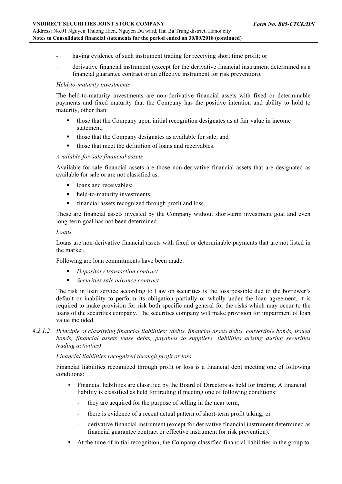- having evidence of such instrument trading for receiving short time profit; or
- derivative financial instrument (except for the derivative financial instrument determined as a financial guarantee contract or an effective instrument for risk prevention).

#### *Held-to-maturity investments*

The held-to-maturity investments are non-derivative financial assets with fixed or determinable payments and fixed maturity that the Company has the positive intention and ability to hold to maturity, other than:

- those that the Company upon initial recognition designates as at fair value in income statement;
- those that the Company designates as available for sale; and
- those that meet the definition of loans and receivables.

#### *Available-for-sale financial assets*

Available-for-sale financial assets are those non-derivative financial assets that are designated as available for sale or are not classified as:

- loans and receivables:
- held-to-maturity investments:
- financial assets recognized through profit and loss.

These are financial assets invested by the Company without short-term investment goal and even long-term goal has not been determined.

#### *Loans*

Loans are non-derivative financial assets with fixed or determinable payments that are not listed in the market.

Following are loan commitments have been made:

- § *Depository transaction contract*
- § *Securities sale advance contract*

The risk in loan service according to Law on securities is the loss possible due to the borrower's default or inability to perform its obligation partially or wholly under the loan agreement, it is required to make provision for risk both specific and general for the risks which may occur to the loans of the securities company. The securities company will make provision for impairment of loan value included.

*4.2.1.2 Principle of classifying financial liabilities: (debts, financial assets debts, convertible bonds, issued bonds, financial assets lease debts, payables to suppliers, liabilities arising during securities trading activities)*

*Financial liabilities recognized through profit or loss*

Financial liabilities recognized through profit or loss is a financial debt meeting one of following conditions:

- Financial liabilities are classified by the Board of Directors as held for trading. A financial liability is classified as held for trading if meeting one of following conditions:
	- they are acquired for the purpose of selling in the near term;
	- there is evidence of a recent actual pattern of short-term profit taking; or
	- derivative financial instrument (except for derivative financial instrument determined as financial guarantee contract or effective instrument for risk prevention).
- § At the time of initial recognition, the Company classified financial liabilities in the group to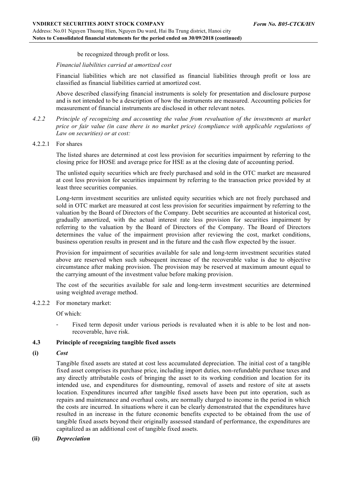be recognized through profit or loss.

*Financial liabilities carried at amortized cost*

Financial liabilities which are not classified as financial liabilities through profit or loss are classified as financial liabilities carried at amortized cost.

Above described classifying financial instruments is solely for presentation and disclosure purpose and is not intended to be a description of how the instruments are measured. Accounting policies for measurement of financial instruments are disclosed in other relevant notes.

- *4.2.2 Principle of recognizing and accounting the value from revaluation of the investments at market price or fair value (in case there is no market price) (compliance with applicable regulations of Law on securities) or at cost:*
- 4.2.2.1 For shares

The listed shares are determined at cost less provision for securities impairment by referring to the closing price for HOSE and average price for HSE as at the closing date of accounting period.

The unlisted equity securities which are freely purchased and sold in the OTC market are measured at cost less provision for securities impairment by referring to the transaction price provided by at least three securities companies.

Long-term investment securities are unlisted equity securities which are not freely purchased and sold in OTC market are measured at cost less provision for securities impairment by referring to the valuation by the Board of Directors of the Company. Debt securities are accounted at historical cost, gradually amortized, with the actual interest rate less provision for securities impairment by referring to the valuation by the Board of Directors of the Company. The Board of Directors determines the value of the impairment provision after reviewing the cost, market conditions, business operation results in present and in the future and the cash flow expected by the issuer.

Provision for impairment of securities available for sale and long-term investment securities stated above are reserved when such subsequent increase of the recoverable value is due to objective circumstance after making provision. The provision may be reserved at maximum amount equal to the carrying amount of the investment value before making provision.

The cost of the securities available for sale and long-term investment securities are determined using weighted average method.

4.2.2.2 For monetary market:

Of which:

Fixed term deposit under various periods is revaluated when it is able to be lost and nonrecoverable, have risk.

#### **4.3 Principle of recognizing tangible fixed assets**

**(i)** *Cost* 

Tangible fixed assets are stated at cost less accumulated depreciation. The initial cost of a tangible fixed asset comprises its purchase price, including import duties, non-refundable purchase taxes and any directly attributable costs of bringing the asset to its working condition and location for its intended use, and expenditures for dismounting, removal of assets and restore of site at assets location. Expenditures incurred after tangible fixed assets have been put into operation, such as repairs and maintenance and overhaul costs, are normally charged to income in the period in which the costs are incurred. In situations where it can be clearly demonstrated that the expenditures have resulted in an increase in the future economic benefits expected to be obtained from the use of tangible fixed assets beyond their originally assessed standard of performance, the expenditures are capitalized as an additional cost of tangible fixed assets.

**(ii)** *Depreciation*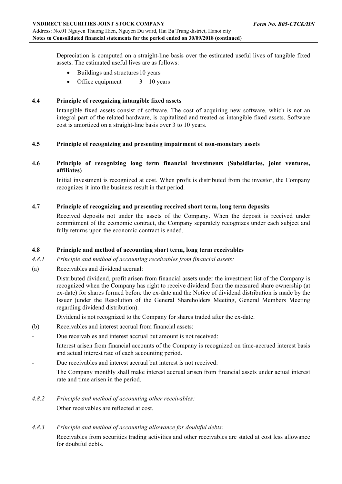Depreciation is computed on a straight-line basis over the estimated useful lives of tangible fixed assets. The estimated useful lives are as follows:

- Buildings and structures 10 years
- Office equipment  $3 10$  years

#### **4.4 Principle of recognizing intangible fixed assets**

Intangible fixed assets consist of software. The cost of acquiring new software, which is not an integral part of the related hardware, is capitalized and treated as intangible fixed assets. Software cost is amortized on a straight-line basis over 3 to 10 years.

#### **4.5 Principle of recognizing and presenting impairment of non-monetary assets**

#### **4.6 Principle of recognizing long term financial investments (Subsidiaries, joint ventures, affiliates)**

Initial investment is recognized at cost. When profit is distributed from the investor, the Company recognizes it into the business result in that period.

#### **4.7 Principle of recognizing and presenting received short term, long term deposits**

Received deposits not under the assets of the Company. When the deposit is received under commitment of the economic contract, the Company separately recognizes under each subject and fully returns upon the economic contract is ended.

#### **4.8 Principle and method of accounting short term, long term receivables**

- *4.8.1 Principle and method of accounting receivables from financial assets:*
- (a) Receivables and dividend accrual:

Distributed dividend, profit arisen from financial assets under the investment list of the Company is recognized when the Company has right to receive dividend from the measured share ownership (at ex-date) for shares formed before the ex-date and the Notice of dividend distribution is made by the Issuer (under the Resolution of the General Shareholders Meeting, General Members Meeting regarding dividend distribution).

Dividend is not recognized to the Company for shares traded after the ex-date.

- (b) Receivables and interest accrual from financial assets:
- Due receivables and interest accrual but amount is not received:

Interest arisen from financial accounts of the Company is recognized on time-accrued interest basis and actual interest rate of each accounting period.

Due receivables and interest accrual but interest is not received:

The Company monthly shall make interest accrual arisen from financial assets under actual interest rate and time arisen in the period.

- *4.8.2 Principle and method of accounting other receivables:* Other receivables are reflected at cost.
- *4.8.3 Principle and method of accounting allowance for doubtful debts:*

Receivables from securities trading activities and other receivables are stated at cost less allowance for doubtful debts.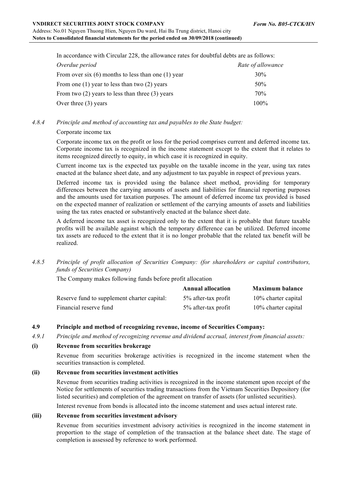In accordance with Circular 228, the allowance rates for doubtful debts are as follows:

| Overdue period                                         | Rate of allowance |
|--------------------------------------------------------|-------------------|
| From over six $(6)$ months to less than one $(1)$ year | 30%               |
| From one $(1)$ year to less than two $(2)$ years       | 50%               |
| From two $(2)$ years to less than three $(3)$ years    | 70%               |
| Over three $(3)$ years                                 | $100\%$           |

#### *4.8.4 Principle and method of accounting tax and payables to the State budget:*

#### Corporate income tax

Corporate income tax on the profit or loss for the period comprises current and deferred income tax. Corporate income tax is recognized in the income statement except to the extent that it relates to items recognized directly to equity, in which case it is recognized in equity.

Current income tax is the expected tax payable on the taxable income in the year, using tax rates enacted at the balance sheet date, and any adjustment to tax payable in respect of previous years.

Deferred income tax is provided using the balance sheet method, providing for temporary differences between the carrying amounts of assets and liabilities for financial reporting purposes and the amounts used for taxation purposes. The amount of deferred income tax provided is based on the expected manner of realization or settlement of the carrying amounts of assets and liabilities using the tax rates enacted or substantively enacted at the balance sheet date.

A deferred income tax asset is recognized only to the extent that it is probable that future taxable profits will be available against which the temporary difference can be utilized. Deferred income tax assets are reduced to the extent that it is no longer probable that the related tax benefit will be realized.

#### *4.8.5 Principle of profit allocation of Securities Company: (for shareholders or capital contributors, funds of Securities Company)*

The Company makes following funds before profit allocation

|                                             | <b>Annual allocation</b> | <b>Maximum balance</b> |
|---------------------------------------------|--------------------------|------------------------|
| Reserve fund to supplement charter capital: | 5% after-tax profit      | 10% charter capital    |
| Financial reserve fund                      | 5% after-tax profit      | 10% charter capital    |

### **4.9 Principle and method of recognizing revenue, income of Securities Company:**

*4.9.1 Principle and method of recognizing revenue and dividend accrual, interest from financial assets:*

#### **(i) Revenue from securities brokerage**

Revenue from securities brokerage activities is recognized in the income statement when the securities transaction is completed.

#### **(ii) Revenue from securities investment activities**

Revenue from securities trading activities is recognized in the income statement upon receipt of the Notice for settlements of securities trading transactions from the Vietnam Securities Depository (for listed securities) and completion of the agreement on transfer of assets (for unlisted securities).

Interest revenue from bonds is allocated into the income statement and uses actual interest rate.

#### **(iii) Revenue from securities investment advisory**

Revenue from securities investment advisory activities is recognized in the income statement in proportion to the stage of completion of the transaction at the balance sheet date. The stage of completion is assessed by reference to work performed.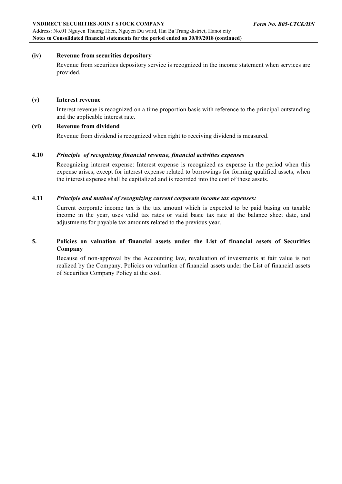Address: No.01 Nguyen Thuong Hien, Nguyen Du ward, Hai Ba Trung district, Hanoi city **Notes to Consolidated financial statements for the period ended on 30/09/2018 (continued)**

### **(iv) Revenue from securities depository**

Revenue from securities depository service is recognized in the income statement when services are provided.

## **(v) Interest revenue**

Interest revenue is recognized on a time proportion basis with reference to the principal outstanding and the applicable interest rate.

## **(vi) Revenue from dividend**

Revenue from dividend is recognized when right to receiving dividend is measured.

## **4.10** *Principle of recognizing financial revenue, financial activities expenses*

Recognizing interest expense: Interest expense is recognized as expense in the period when this expense arises, except for interest expense related to borrowings for forming qualified assets, when the interest expense shall be capitalized and is recorded into the cost of these assets.

## **4.11** *Principle and method of recognizing current corporate income tax expenses:*

Current corporate income tax is the tax amount which is expected to be paid basing on taxable income in the year, uses valid tax rates or valid basic tax rate at the balance sheet date, and adjustments for payable tax amounts related to the previous year.

### **5. Policies on valuation of financial assets under the List of financial assets of Securities Company**

Because of non-approval by the Accounting law, revaluation of investments at fair value is not realized by the Company. Policies on valuation of financial assets under the List of financial assets of Securities Company Policy at the cost.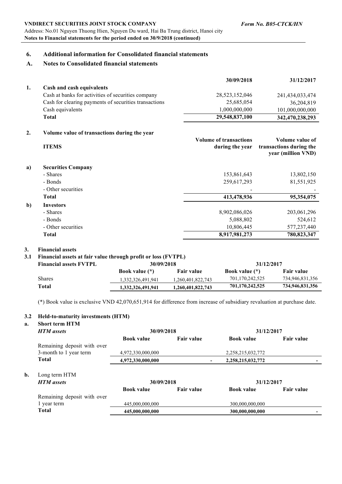#### *Form No. B05-CTCK/HN*

#### **VNDIRECT SECURITIES JOINT STOCK COMPANY**

Address: No.01 Nguyen Thuong Hien, Nguyen Du ward, Hai Ba Trung district, Hanoi city **Notes to Financial statements for the period ended on 30/9/2018 (continued)**

### **6. Additional information for Consolidated financial statements**

#### **A. Notes to Consolidated financial statements**

|    |                                                              | 30/09/2018                                       | 31/12/2017                                                       |
|----|--------------------------------------------------------------|--------------------------------------------------|------------------------------------------------------------------|
| 1. | Cash and cash equivalents                                    |                                                  |                                                                  |
|    | Cash at banks for activities of securities company           | 28,523,152,046                                   | 241,434,033,474                                                  |
|    | Cash for clearing payments of securities transactions        | 25,685,054                                       | 36,204,819                                                       |
|    | Cash equivalents                                             | 1,000,000,000                                    | 101,000,000,000                                                  |
|    | <b>Total</b>                                                 | 29,548,837,100                                   | 342,470,238,293                                                  |
| 2. | Volume value of transactions during the year<br><b>ITEMS</b> | <b>Volume of transactions</b><br>during the year | Volume value of<br>transactions during the<br>year (million VND) |
| a) | <b>Securities Company</b>                                    |                                                  |                                                                  |
|    | - Shares                                                     | 153,861,643                                      | 13,802,150                                                       |
|    | - Bonds                                                      | 259,617,293                                      | 81,551,925                                                       |
|    | $Oth$ coqurition                                             |                                                  |                                                                  |

|              | - Other securities | $\overline{\phantom{a}}$ | $\overline{\phantom{0}}$ |
|--------------|--------------------|--------------------------|--------------------------|
|              | Total              | 413,478,936              | 95,354,075               |
| $\mathbf{b}$ | <b>Investors</b>   |                          |                          |
|              | - Shares           | 8,902,086,026            | 203,061,296              |
|              | - Bonds            | 5,088,802                | 524,612                  |
|              | - Other securities | 10,806,445               | 577,237,440              |
|              | Total              | 8,917,981,273            | 780,823,347              |

#### **3. Financial assets**

#### **3.1 Financial assets at fair value through profit or loss (FVTPL)**

| <b>Financial assets FVTPL</b> | $\sim$ $\blacksquare$<br>30/09/2018 |                   | 31/12/2017            |                   |
|-------------------------------|-------------------------------------|-------------------|-----------------------|-------------------|
|                               | <b>Book value</b> (*)               | <b>Fair value</b> | <b>Book value</b> (*) | <b>Fair value</b> |
| <b>Shares</b>                 | 1,332,326,491,941                   | 1,260,401,822,743 | 701,170,242,525       | 734,946,831,356   |
| Total                         | 1,332,326,491,941                   | 1,260,401,822,743 | 701,170,242,525       | 734,946,831,356   |

(\*) Book value is exclusive VND 42,070,651,914 for difference from increase of subsidiary revaluation at purchase date.

#### **3.2 Held-to-maturity investments (HTM)**

#### **a. Short term HTM**

|    | <b>HTM</b> assets           | 30/09/2018        |                   | 31/12/2017        |                   |
|----|-----------------------------|-------------------|-------------------|-------------------|-------------------|
|    |                             | <b>Book value</b> | <b>Fair value</b> | <b>Book value</b> | <b>Fair value</b> |
|    | Remaining deposit with over |                   |                   |                   |                   |
|    | 3-month to 1 year term      | 4,972,330,000,000 |                   | 2,258,215,032,772 |                   |
|    | <b>Total</b>                | 4,972,330,000,000 |                   | 2,258,215,032,772 |                   |
| b. | Long term HTM               |                   |                   |                   |                   |
|    | <b>HTM</b> assets           | 30/09/2018        |                   | 31/12/2017        |                   |
|    |                             | <b>Book value</b> | <b>Fair value</b> | <b>Book value</b> | <b>Fair value</b> |
|    | Remaining deposit with over |                   |                   |                   |                   |
|    | 1 year term                 | 445,000,000,000   |                   | 300,000,000,000   |                   |
|    | Total                       | 445,000,000,000   |                   | 300,000,000,000   |                   |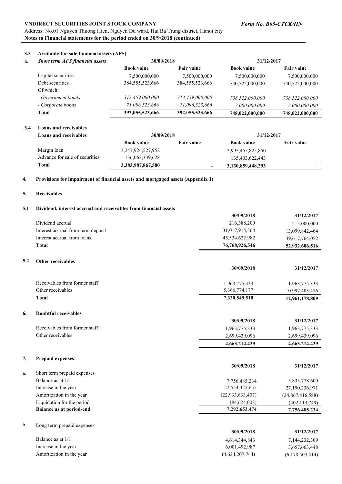#### *Form No. B05-CTCK/HN*

#### **VNDIRECT SECURITIES JOINT STOCK COMPANY**

Address: No.01 Nguyen Thuong Hien, Nguyen Du ward, Hai Ba Trung district, Hanoi city **Notes to Financial statements for the period ended on 30/9/2018 (continued)**

#### **3.3 Available-for-sale financial assets (AFS)**

| a. | <b>Short term AFS financial assets</b> | 30/09/2018         |                    | 31/12/2017        |                   |
|----|----------------------------------------|--------------------|--------------------|-------------------|-------------------|
|    |                                        | <b>Book value</b>  | <b>Fair value</b>  | <b>Book value</b> | <b>Fair value</b> |
|    | Capital securities                     | 7,500,000,000      | 7,500,000,000      | 7,500,000,000     | 7,500,000,000     |
|    | Debt securities                        | 384, 555, 523, 666 | 384, 555, 523, 666 | 740,522,000,000   | 740,522,000,000   |
|    | Of which:                              |                    |                    |                   |                   |
|    | - Government bonds                     | 313,459,000,000    | 313,459,000,000    | 738.522.000.000   | 738,522,000,000   |
|    | - Corporate bonds                      | 71.096.523.666     | 71,096,523,666     | 2,000,000,000     | 2,000,000,000     |
|    | <b>Total</b>                           | 392,055,523,666    | 392,055,523,666    | 748,022,000,000   | 748,022,000,000   |

#### **3.4 Loans and receivables**

| Loans and receivables          | 30/09/2018            |                   | 31/12/2017        |                          |
|--------------------------------|-----------------------|-------------------|-------------------|--------------------------|
|                                | <b>Book value</b>     | <b>Fair value</b> | <b>Book value</b> | Fair value               |
| Margin loan                    | 3, 247, 924, 527, 952 |                   | 2,995,455,825,850 |                          |
| Advance for sale of securities | 136,063,339,628       |                   | 135,403,622,443   |                          |
| Total                          | 3,383,987,867,580     |                   | 3,130,859,448,293 | $\overline{\phantom{0}}$ |

#### **4. Provisions for impairment of financial assets and mortgaged assets (Appendix 1)**

#### **5. Receivables**

#### **5.1 Dividend, interest accrual and receivables from financial assets**

|     |                                    | 30/09/2018          | 31/12/2017       |
|-----|------------------------------------|---------------------|------------------|
|     | Dividend accrual                   | 216,388,200         | 215,000,000      |
|     | Interest accrual from term deposit | 31,017,915,364      | 13,099,842,464   |
|     | Interest accrual from loans        | 45,534,622,982      | 39,617,764,052   |
|     | <b>Total</b>                       | 76,768,926,546      | 52,932,606,516   |
| 5.2 | Other receivables                  |                     |                  |
|     |                                    | 30/09/2018          | 31/12/2017       |
|     | Receivables from former staff      | 1,963,775,333       | 1,963,775,333    |
|     | Other receivables                  | 5,366,774,177       | 10,997,403,476   |
|     | <b>Total</b>                       | 7,330,549,510       | 12,961,178,809   |
| 6.  | <b>Doubtful receivables</b>        |                     |                  |
|     |                                    | 30/09/2018          | 31/12/2017       |
|     | Receivables from former staff      | 1,963,775,333       | 1,963,775,333    |
|     | Other receivables                  | 2,699,439,096       | 2,699,439,096    |
|     |                                    | 4,663,214,429       | 4,663,214,429    |
| 7.  | <b>Prepaid expenses</b>            |                     |                  |
|     |                                    | 30/09/2018          | 31/12/2017       |
| a.  | Short term prepaid expenses        |                     |                  |
|     | Balance as at 1/1                  | 7,756,485,234       | 5,835,778,600    |
|     | Increase in the year               | 22,554,425,655      | 27,190,236,971   |
|     | Amortization in the year           | (22, 933, 633, 407) | (24,867,416,588) |
|     | Liquidation for the period         | (84, 624, 008)      | (402, 113, 749)  |
|     | <b>Balance as at period-end</b>    | 7,292,653,474       | 7,756,485,234    |
| b.  | Long term prepaid expenses         |                     |                  |
|     |                                    | 30/09/2018          | 31/12/2017       |
|     | Balance as at 1/1                  | 4,614,344,843       | 7,144,232,309    |
|     | Increase in the year               | 6,001,492,987       | 3,657,663,448    |
|     | Amortization in the year           | (4,624,207,744)     | (6,178,503,414)  |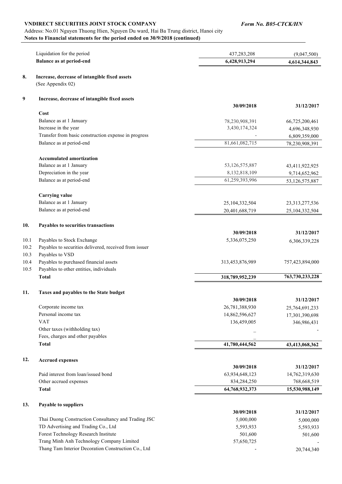#### Address: No.01 Nguyen Thuong Hien, Nguyen Du ward, Hai Ba Trung district, Hanoi city **Notes to Financial statements for the period ended on 30/9/2018 (continued)**

|      | Liquidation for the period                             | 437,283,208     | (9,047,500)     |
|------|--------------------------------------------------------|-----------------|-----------------|
|      | <b>Balance as at period-end</b>                        | 6,428,913,294   | 4,614,344,843   |
| 8.   | Increase, decrease of intangible fixed assets          |                 |                 |
|      | (See Appendix 02)                                      |                 |                 |
| 9    | Increase, decrease of intangible fixed assets          |                 |                 |
|      | Cost                                                   | 30/09/2018      | 31/12/2017      |
|      | Balance as at 1 January                                | 78,230,908,391  | 66,725,200,461  |
|      | Increase in the year                                   | 3,430,174,324   | 4,696,348,930   |
|      | Transfer from basic construction expense in progress   |                 | 6,809,359,000   |
|      | Balance as at period-end                               | 81,661,082,715  | 78,230,908,391  |
|      | <b>Accumulated amortization</b>                        |                 |                 |
|      | Balance as at 1 January                                | 53,126,575,887  | 43,411,922,925  |
|      | Depreciation in the year                               | 8,132,818,109   | 9,714,652,962   |
|      | Balance as at period-end                               | 61,259,393,996  | 53,126,575,887  |
|      | <b>Carrying value</b>                                  |                 |                 |
|      | Balance as at 1 January                                | 25,104,332,504  | 23,313,277,536  |
|      | Balance as at period-end                               | 20,401,688,719  | 25,104,332,504  |
| 10.  | Payables to securities transactions                    |                 |                 |
|      |                                                        | 30/09/2018      | 31/12/2017      |
| 10.1 | Payables to Stock Exchange                             | 5,336,075,250   | 6,306,339,228   |
| 10.2 | Payables to securities delivered, received from issuer |                 |                 |
| 10.3 | Payables to VSD                                        |                 |                 |
| 10.4 | Payables to purchased financial assets                 | 313,453,876,989 | 757,423,894,000 |
| 10.5 | Payables to other entities, individuals                |                 |                 |
|      | <b>Total</b>                                           | 318,789,952,239 | 763,730,233,228 |
| 11.  | Taxes and payables to the State budget                 |                 |                 |
|      |                                                        | 30/09/2018      | 31/12/2017      |
|      | Corporate income tax                                   | 26,781,388,930  | 25,764,691,233  |
|      | Personal income tax                                    | 14,862,596,627  | 17,301,390,698  |
|      | <b>VAT</b>                                             | 136,459,005     | 346,986,431     |
|      | Other taxes (withholding tax)                          |                 |                 |
|      | Fees, charges and other payables                       |                 |                 |
|      | <b>Total</b>                                           | 41,780,444,562  | 43,413,068,362  |
| 12.  | <b>Accrued expenses</b>                                |                 |                 |
|      |                                                        | 30/09/2018      | 31/12/2017      |
|      | Paid interest from loan/issued bond                    | 63,934,648,123  | 14,762,319,630  |
|      | Other accrued expenses                                 | 834,284,250     | 768,668,519     |
|      | <b>Total</b>                                           | 64,768,932,373  | 15,530,988,149  |
| 13.  | Payable to suppliers                                   |                 |                 |
|      |                                                        | 30/09/2018      | 31/12/2017      |
|      | Thai Duong Construction Consultancy and Trading JSC    | 5,000,000       | 5,000,000       |
|      | TD Advertising and Trading Co., Ltd                    | 5,593,933       | 5,593,933       |
|      | Forest Technology Research Institute                   | 501,600         | 501,600         |
|      | Trang Minh Anh Technology Company Limited              | 57,650,725      |                 |
|      | Thang Tam Interior Decoration Construction Co., Ltd    |                 | 20,744,340      |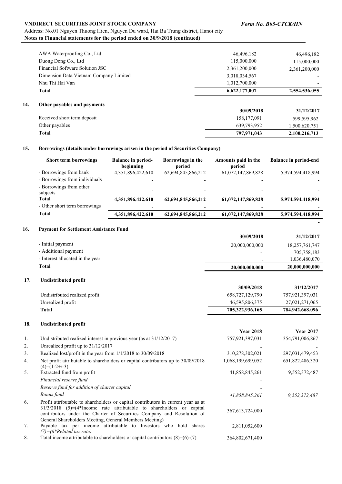#### Address: No.01 Nguyen Thuong Hien, Nguyen Du ward, Hai Ba Trung district, Hanoi city **Notes to Financial statements for the period ended on 30/9/2018 (continued)**

|     | <b>Total</b>                           | 797,971,043   | 2,100,216,713 |
|-----|----------------------------------------|---------------|---------------|
|     | Other payables                         | 639,793,952   | 1,500,620,751 |
|     | Received short term deposit            | 158, 177, 091 | 599,595,962   |
| 14. | Other payables and payments            | 30/09/2018    | 31/12/2017    |
|     | <b>Total</b>                           | 6,622,177,007 | 2,554,536,055 |
|     | Nhu Thi Hai Van                        | 1,012,700,000 |               |
|     | Dimension Data Vietnam Company Limited | 3,018,034,567 |               |
|     | Financial Software Solution JSC        | 2,361,200,000 | 2,361,200,000 |
|     | Duong Dong Co., Ltd                    | 115,000,000   | 115,000,000   |
|     | AWA Waterproofing Co., Ltd             | 46,496,182    | 46,496,182    |

#### **15. Borrowings (details under borrowings arisen in the period of Securities Company)**

| <b>Short term borrowings</b>                 | <b>Balance in period-</b><br>beginning        | Borrowings in the<br>period | Amounts paid in the<br>period | <b>Balance in period-end</b> |
|----------------------------------------------|-----------------------------------------------|-----------------------------|-------------------------------|------------------------------|
| - Borrowings from bank                       | 4,351,896,422,610                             | 62,694,845,866,212          | 61,072,147,869,828            | 5,974,594,418,994            |
| - Borrowings from individuals                |                                               |                             |                               |                              |
| - Borrowings from other<br>subjects<br>Total | $\overline{\phantom{0}}$<br>4,351,896,422,610 | 62,694,845,866,212          | 61,072,147,869,828            | 5,974,594,418,994            |
| - Other short term borrowings                |                                               |                             |                               |                              |
| Total                                        | 4,351,896,422,610                             | 62,694,845,866,212          | 61,072,147,869,828            | 5,974,594,418,994            |
|                                              |                                               |                             |                               |                              |

#### **16. Payment for Settlement Assistance Fund**

|                                  | 30/09/2018     | 31/12/2017     |
|----------------------------------|----------------|----------------|
| - Initial payment                | 20,000,000,000 | 18,257,761,747 |
| - Additional payment             |                | 705,758,183    |
| - Interest allocated in the year |                | 1,036,480,070  |
| Total                            | 20,000,000,000 | 20,000,000,000 |

#### **17. Undistributed profit**

|                               | 30/09/2018      | 31/12/2017      |
|-------------------------------|-----------------|-----------------|
| Undistributed realized profit | 658,727,129,790 | 757,921,397,031 |
| Unrealized profit             | 46,595,806,375  | 27,021,271,065  |
| Total                         | 705,322,936,165 | 784,942,668,096 |

#### **18. Undistributed profit**

|    |                                                                                                                                                                                                                                     | <b>Year 2018</b>  | <b>Year 2017</b> |
|----|-------------------------------------------------------------------------------------------------------------------------------------------------------------------------------------------------------------------------------------|-------------------|------------------|
| 1. | Undistributed realized interest in previous year (as at $31/12/2017$ )                                                                                                                                                              | 757,921,397,031   | 354,791,006,867  |
| 2. | Unrealized profit up to $31/12/2017$                                                                                                                                                                                                |                   |                  |
| 3. | Realized lost/profit in the year from $1/1/2018$ to $30/09/2018$                                                                                                                                                                    | 310,278,302,021   | 297,031,479,453  |
| 4. | Net profit attributable to shareholders or capital contributors up to 30/09/2018<br>$(4)=(1-2+/-3)$                                                                                                                                 | 1,068,199,699,052 | 651,822,486,320  |
| 5. | Extracted fund from profit                                                                                                                                                                                                          | 41,858,845,261    | 9,552,372,487    |
|    | Financial reserve fund                                                                                                                                                                                                              |                   |                  |
|    | Reserve fund for addition of charter capital                                                                                                                                                                                        |                   |                  |
|    | Bonus fund                                                                                                                                                                                                                          | 41,858,845,261    | 9,552,372,487    |
| 6. | Profit attributable to shareholders or capital contributors in current year as at<br>31/3/2018 (5)=(4*Income rate attributable to shareholders or capital<br>contributors under the Charter of Securities Company and Resolution of | 367,613,724,000   |                  |
| 7. | General Shareholders Meeting, General Members Meeting)<br>Payable tax per income attributable to Investors who hold shares<br>$(7) = (6 * Related tax rate)$                                                                        | 2,811,052,600     |                  |
| 8. | Total income attributable to shareholders or capital contributors $(8)=(6)-(7)$                                                                                                                                                     | 364,802,671,400   |                  |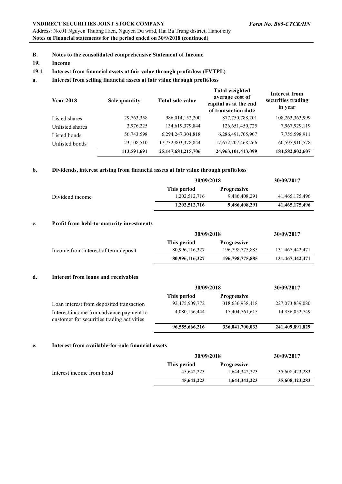Address: No.01 Nguyen Thuong Hien, Nguyen Du ward, Hai Ba Trung district, Hanoi city **Notes to Financial statements for the period ended on 30/9/2018 (continued)**

- **B. Notes to the consolidated comprehensive Statement of Income**
- **19. Income**

#### **19.1 Interest from financial assets at fair value through profit/loss (FVTPL)**

#### **a. Interest from selling financial assets at fair value through profit/loss**

| <b>Year 2018</b> | Sale quantity | Total sale value       | <b>Total weighted</b><br>average cost of<br>capital as at the end<br>of transaction date | <b>Interest from</b><br>securities trading<br>in year |
|------------------|---------------|------------------------|------------------------------------------------------------------------------------------|-------------------------------------------------------|
| Listed shares    | 29,763,358    | 986,014,152,200        | 877,750,788,201                                                                          | 108,263,363,999                                       |
| Unlisted shares  | 3,976,225     | 134,619,379,844        | 126, 651, 450, 725                                                                       | 7,967,929,119                                         |
| Listed bonds     | 56,743,598    | 6,294,247,304,818      | 6,286,491,705,907                                                                        | 7,755,598,911                                         |
| Unlisted bonds   | 23,108,510    | 17,732,803,378,844     | 17,672,207,468,266                                                                       | 60,595,910,578                                        |
|                  | 113,591,691   | 25, 147, 684, 215, 706 | 24,963,101,413,099                                                                       | 184,582,802,607                                       |

#### **b. Dividends, interest arising from financial assets at fair value through profit/loss**

|                 |               | 30/09/2018         |                |
|-----------------|---------------|--------------------|----------------|
|                 | This period   | <b>Progressive</b> |                |
| Dividend income | 1.202.512.716 | 9,486,408,291      | 41,465,175,496 |
|                 | 1.202.512.716 | 9,486,408,291      | 41,465,175,496 |

#### **c. Profit from held-to-maturity investments**

|                                      | 30/09/2018     |                    | 30/09/2017      |
|--------------------------------------|----------------|--------------------|-----------------|
|                                      | This period    | <b>Progressive</b> |                 |
| Income from interest of term deposit | 80,996,116,327 | 196, 798, 775, 885 | 131,467,442,471 |
|                                      | 80,996,116,327 | 196,798,775,885    | 131,467,442,471 |

#### **d. Interest from loans and receivables**

|                                                                                       | 30/09/2018     |                    | 30/09/2017      |  |
|---------------------------------------------------------------------------------------|----------------|--------------------|-----------------|--|
|                                                                                       | This period    | <b>Progressive</b> |                 |  |
| Loan interest from deposited transaction                                              | 92,475,509,772 | 318,636,938,418    | 227,073,839,080 |  |
| Interest income from advance payment to<br>customer for securities trading activities | 4,080,156,444  | 17,404,761,615     | 14,336,052,749  |  |
|                                                                                       | 96,555,666,216 | 336,041,700,033    | 241,409,891,829 |  |

#### **e. Interest from available-for-sale financial assets**

|                           | 30/09/2018  |                    | 30/09/2017     |
|---------------------------|-------------|--------------------|----------------|
|                           | This period | <b>Progressive</b> |                |
| Interest income from bond | 45.642.223  | 1.644.342.223      | 35,608,423,283 |
|                           | 45,642,223  | 1,644,342,223      | 35,608,423,283 |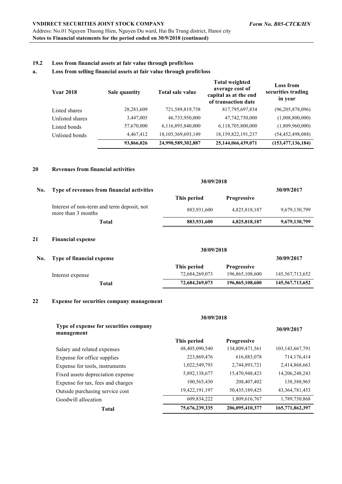#### **19.2 Loss from financial assets at fair value through profit/loss**

#### **a. Loss from selling financial assets at fair value through profit/loss**

| <b>Year 2018</b> | Sale quantity | Total sale value   | <b>Total weighted</b><br>average cost of<br>capital as at the end<br>of transaction date | <b>Loss from</b><br>securities trading<br>in year |
|------------------|---------------|--------------------|------------------------------------------------------------------------------------------|---------------------------------------------------|
| Listed shares    | 28,281,609    | 721,589,819,738    | 817,795,697,834                                                                          | (96,205,878,096)                                  |
| Unlisted shares  | 3,447,005     | 46,733,950,000     | 47,742,750,000                                                                           | (1,008,800,000)                                   |
| Listed bonds     | 57,670,000    | 6,116,895,840,000  | 6,118,705,800,000                                                                        | (1,809,960,000)                                   |
| Unlisted bonds   | 4,467,412     | 18,105,369,693,149 | 18,159,822,191,237                                                                       | (54, 452, 498, 088)                               |
|                  | 93,866,026    | 24,990,589,302,887 | 25,144,066,439,071                                                                       | (153, 477, 136, 184)                              |

#### **20 Revenues from financial activities**

|     |                                                                  |             | 30/09/2018         |               |  |
|-----|------------------------------------------------------------------|-------------|--------------------|---------------|--|
| No. | Type of revenues from financial activities                       |             | 30/09/2017         |               |  |
|     |                                                                  | This period | <b>Progressive</b> |               |  |
|     | Interest of non-term and term deposit, not<br>more than 3 months | 883,931,600 | 4,825,818,187      | 9,679,130,799 |  |
|     | Total                                                            | 883,931,600 | 4,825,818,187      | 9,679,130,799 |  |
|     |                                                                  |             |                    |               |  |
| 21  | <b>Financial expense</b>                                         |             |                    |               |  |

| No. | Type of financial expense |                |                    | 30/09/2017         |
|-----|---------------------------|----------------|--------------------|--------------------|
|     |                           | This period    | <b>Progressive</b> |                    |
|     | Interest expense          | 72,684,269,073 | 196,865,108,600    | 145,567,713,652    |
|     | Total                     | 72,684,269,073 | 196,865,108,600    | 145, 567, 713, 652 |

#### **22 Expense for securities company management**

|                                                      | 30/09/2018     |                    |                    |  |  |
|------------------------------------------------------|----------------|--------------------|--------------------|--|--|
| Type of expense for securities company<br>management |                |                    | 30/09/2017         |  |  |
|                                                      | This period    | <b>Progressive</b> |                    |  |  |
| Salary and related expenses                          | 48,405,090,540 | 134,809,471,561    | 103, 143, 667, 791 |  |  |
| Expense for office supplies                          | 223,869,476    | 616,883,078        | 714,176,414        |  |  |
| Expense for tools, instruments                       | 1,022,549,793  | 2,744,893,721      | 2,414,868,663      |  |  |
| Fixed assets depreciation expense                    | 5,892,138,677  | 15,470,948,423     | 14, 206, 248, 243  |  |  |
| Expense for tax, fees and charges                    | 100,565,430    | 208,407,402        | 138,388,965        |  |  |
| Outside purchasing service cost                      | 19,422,191,197 | 50,435,189,425     | 43, 364, 781, 453  |  |  |
| Goodwill allocation                                  | 609,834,222    | 1,809,616,767      | 1,789,730,868      |  |  |
| Total                                                | 75,676,239,335 | 206,095,410,377    | 165,771,862,397    |  |  |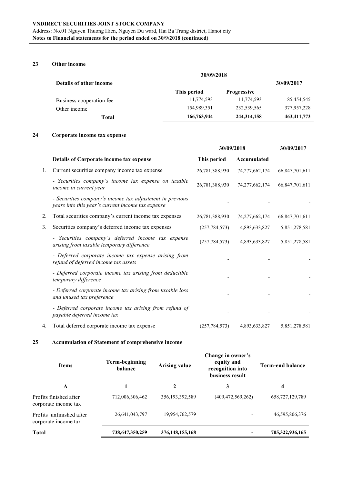#### **23 Other income**

|                                | 30/09/2018                        |               |               |  |  |
|--------------------------------|-----------------------------------|---------------|---------------|--|--|
| <b>Details of other income</b> | This period<br><b>Progressive</b> |               | 30/09/2017    |  |  |
|                                |                                   |               |               |  |  |
| Business cooperation fee       | 11,774,593                        | 11,774,593    | 85,454,545    |  |  |
| Other income                   | 154,989,351                       | 232,539,565   | 377,957,228   |  |  |
| Total                          | 166,763,944                       | 244, 314, 158 | 463, 411, 773 |  |  |

#### **24 Corporate income tax expense**

|    |                                                                                                               | 30/09/2018      |                   | 30/09/2017     |
|----|---------------------------------------------------------------------------------------------------------------|-----------------|-------------------|----------------|
|    | Details of Corporate income tax expense                                                                       | This period     | Accumulated       |                |
| 1. | Current securities company income tax expense                                                                 | 26,781,388,930  | 74, 277, 662, 174 | 66,847,701,611 |
|    | - Securities company's income tax expense on taxable<br>income in current year                                | 26,781,388,930  | 74, 277, 662, 174 | 66,847,701,611 |
|    | - Securities company's income tax adjustment in previous<br>years into this year's current income tax expense |                 |                   |                |
| 2. | Total securities company's current income tax expenses                                                        | 26,781,388,930  | 74, 277, 662, 174 | 66,847,701,611 |
| 3. | Securities company's deferred income tax expenses                                                             | (257, 784, 573) | 4,893,633,827     | 5,851,278,581  |
|    | - Securities company's deferred income tax expense<br>arising from taxable temporary difference               | (257, 784, 573) | 4,893,633,827     | 5,851,278,581  |
|    | - Deferred corporate income tax expense arising from<br>refund of deferred income tax assets                  |                 |                   |                |
|    | - Deferred corporate income tax arising from deductible<br>temporary difference                               |                 |                   |                |
|    | - Deferred corporate income tax arising from taxable loss<br>and unused tax preference                        |                 |                   |                |
|    | - Deferred corporate income tax arising from refund of<br>payable deferred income tax                         |                 |                   |                |
| 4. | Total deferred corporate income tax expense                                                                   | (257, 784, 573) | 4,893,633,827     | 5,851,278,581  |

#### **25 Accumulation of Statement of comprehensive income**

| <b>Items</b>                                     | Term-beginning<br>balance | <b>Arising value</b> | Change in owner's<br>equity and<br>recognition into<br>business result | <b>Term-end balance</b> |  |
|--------------------------------------------------|---------------------------|----------------------|------------------------------------------------------------------------|-------------------------|--|
| A                                                |                           | $\mathbf 2$          | 3                                                                      | 4                       |  |
| Profits finished after<br>corporate income tax   | 712,006,306,462           | 356, 193, 392, 589   | (409, 472, 569, 262)                                                   | 658, 727, 129, 789      |  |
| Profits unfinished after<br>corporate income tax | 26,641,043,797            | 19,954,762,579       | $\overline{\phantom{0}}$                                               | 46,595,806,376          |  |
| <b>Total</b>                                     | 738,647,350,259           | 376, 148, 155, 168   |                                                                        | 705,322,936,165         |  |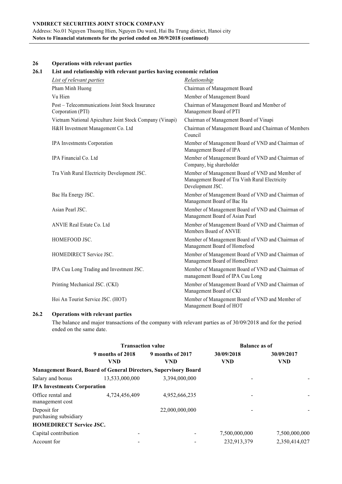Address: No.01 Nguyen Thuong Hien, Nguyen Du ward, Hai Ba Trung district, Hanoi city **Notes to Financial statements for the period ended on 30/9/2018 (continued)**

| 26   | <b>Operations with relevant parties</b>                              |                                                                                                                       |  |  |  |  |  |
|------|----------------------------------------------------------------------|-----------------------------------------------------------------------------------------------------------------------|--|--|--|--|--|
| 26.1 | List and relationship with relevant parties having economic relation |                                                                                                                       |  |  |  |  |  |
|      | List of relevant parties                                             | Relationship                                                                                                          |  |  |  |  |  |
|      | Pham Minh Huong                                                      | Chairman of Management Board                                                                                          |  |  |  |  |  |
|      | Vu Hien                                                              | Member of Management Board                                                                                            |  |  |  |  |  |
|      | Post - Telecommunications Joint Stock Insurance<br>Corporation (PTI) | Chairman of Management Board and Member of<br>Management Board of PTI                                                 |  |  |  |  |  |
|      | Vietnam National Apiculture Joint Stock Company (Vinapi)             | Chairman of Management Board of Vinapi                                                                                |  |  |  |  |  |
|      | H&H Investment Management Co. Ltd                                    | Chairman of Management Board and Chairman of Members<br>Council                                                       |  |  |  |  |  |
|      | IPA Investments Corporation                                          | Member of Management Board of VND and Chairman of<br>Management Board of IPA                                          |  |  |  |  |  |
|      | IPA Financial Co. Ltd                                                | Member of Management Board of VND and Chairman of<br>Company, big shareholder                                         |  |  |  |  |  |
|      | Tra Vinh Rural Electricity Development JSC.                          | Member of Management Board of VND and Member of<br>Management Board of Tra Vinh Rural Electricity<br>Development JSC. |  |  |  |  |  |
|      | Bac Ha Energy JSC.                                                   | Member of Management Board of VND and Chairman of<br>Management Board of Bac Ha                                       |  |  |  |  |  |
|      | Asian Pearl JSC.                                                     | Member of Management Board of VND and Chairman of<br>Management Board of Asian Pearl                                  |  |  |  |  |  |
|      | ANVIE Real Estate Co. Ltd                                            | Member of Management Board of VND and Chairman of<br>Members Board of ANVIE                                           |  |  |  |  |  |
|      | HOMEFOOD JSC.                                                        | Member of Management Board of VND and Chairman of<br>Management Board of Homefood                                     |  |  |  |  |  |
|      | HOMEDIRECT Service JSC.                                              | Member of Management Board of VND and Chairman of<br>Management Board of HomeDirect                                   |  |  |  |  |  |
|      | IPA Cuu Long Trading and Investment JSC.                             | Member of Management Board of VND and Chairman of<br>management Board of IPA Cuu Long                                 |  |  |  |  |  |
|      | Printing Mechanical JSC. (CKI)                                       | Member of Management Board of VND and Chairman of<br>Management Board of CKI                                          |  |  |  |  |  |
|      | Hoi An Tourist Service JSC. (HOT)                                    | Member of Management Board of VND and Member of<br>Management Board of HOT                                            |  |  |  |  |  |

#### **26.2 Operations with relevant parties**

The balance and major transactions of the company with relevant parties as of 30/09/2018 and for the period ended on the same date.

|                                      | <b>Transaction value</b> |                                                                        | <b>Balance as of</b> |               |  |
|--------------------------------------|--------------------------|------------------------------------------------------------------------|----------------------|---------------|--|
|                                      | 9 months of 2018         | 9 months of 2017                                                       | 30/09/2018           | 30/09/2017    |  |
|                                      | <b>VND</b>               | <b>VND</b>                                                             | <b>VND</b>           | <b>VND</b>    |  |
|                                      |                          | <b>Management Board, Board of General Directors, Supervisory Board</b> |                      |               |  |
| Salary and bonus                     | 13,533,000,000           | 3,394,000,000                                                          |                      |               |  |
| <b>IPA Investments Corporation</b>   |                          |                                                                        |                      |               |  |
| Office rental and<br>management cost | 4,724,456,409            | 4,952,666,235                                                          |                      |               |  |
| Deposit for<br>purchasing subsidiary |                          | 22,000,000,000                                                         |                      |               |  |
| <b>HOMEDIRECT Service JSC.</b>       |                          |                                                                        |                      |               |  |
| Capital contribution                 |                          |                                                                        | 7,500,000,000        | 7,500,000,000 |  |
| Account for                          |                          |                                                                        | 232,913,379          | 2.350.414.027 |  |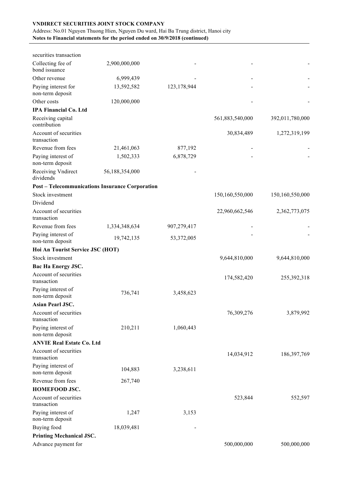#### Address: No.01 Nguyen Thuong Hien, Nguyen Du ward, Hai Ba Trung district, Hanoi city **Notes to Financial statements for the period ended on 30/9/2018 (continued)**

| securities transaction                  |                                                        |             |                 |                 |
|-----------------------------------------|--------------------------------------------------------|-------------|-----------------|-----------------|
| Collecting fee of<br>bond issuance      | 2,900,000,000                                          |             |                 |                 |
| Other revenue                           | 6,999,439                                              |             |                 |                 |
| Paying interest for<br>non-term deposit | 13,592,582                                             | 123,178,944 |                 |                 |
| Other costs                             | 120,000,000                                            |             |                 |                 |
| <b>IPA Financial Co. Ltd</b>            |                                                        |             |                 |                 |
| Receiving capital<br>contribution       |                                                        |             | 561,883,540,000 | 392,011,780,000 |
| Account of securities<br>transaction    |                                                        |             | 30,834,489      | 1,272,319,199   |
| Revenue from fees                       | 21,461,063                                             | 877,192     |                 |                 |
| Paying interest of<br>non-term deposit  | 1,502,333                                              | 6,878,729   |                 |                 |
| Receiving Vndirect<br>dividends         | 56,188,354,000                                         |             |                 |                 |
|                                         | <b>Post - Telecommunications Insurance Corporation</b> |             |                 |                 |
| Stock investment                        |                                                        |             | 150,160,550,000 | 150,160,550,000 |
| Dividend                                |                                                        |             |                 |                 |
| Account of securities<br>transaction    |                                                        |             | 22,960,662,546  | 2,362,773,075   |
| Revenue from fees                       | 1,334,348,634                                          | 907,279,417 |                 |                 |
| Paying interest of<br>non-term deposit  | 19,742,135                                             | 53,372,005  |                 |                 |
| Hoi An Tourist Service JSC (HOT)        |                                                        |             |                 |                 |
| Stock investment                        |                                                        |             | 9,644,810,000   | 9,644,810,000   |
| Bac Ha Energy JSC.                      |                                                        |             |                 |                 |
| Account of securities<br>transaction    |                                                        |             | 174,582,420     | 255,392,318     |
| Paying interest of<br>non-term deposit  | 736,741                                                | 3,458,623   |                 |                 |
| <b>Asian Pearl JSC.</b>                 |                                                        |             |                 |                 |
| Account of securities<br>transaction    |                                                        |             | 76,309,276      | 3,879,992       |
| Paying interest of<br>non-term deposit  | 210,211                                                | 1,060,443   |                 |                 |
| <b>ANVIE Real Estate Co. Ltd</b>        |                                                        |             |                 |                 |
| Account of securities<br>transaction    |                                                        |             | 14,034,912      | 186, 397, 769   |
| Paying interest of<br>non-term deposit  | 104,883                                                | 3,238,611   |                 |                 |
| Revenue from fees                       | 267,740                                                |             |                 |                 |
| <b>HOMEFOOD JSC.</b>                    |                                                        |             |                 |                 |
| Account of securities<br>transaction    |                                                        |             | 523,844         | 552,597         |
| Paying interest of<br>non-term deposit  | 1,247                                                  | 3,153       |                 |                 |
| Buying food                             | 18,039,481                                             |             |                 |                 |
| <b>Printing Mechanical JSC.</b>         |                                                        |             |                 |                 |
| Advance payment for                     |                                                        |             | 500,000,000     | 500,000,000     |
|                                         |                                                        |             |                 |                 |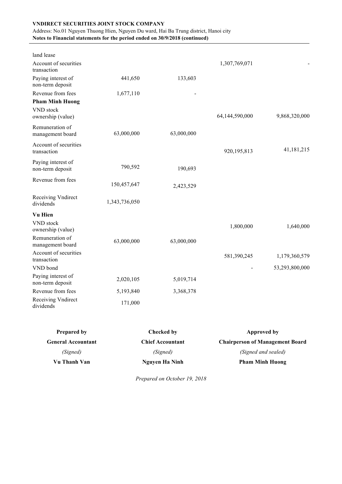## Address: No.01 Nguyen Thuong Hien, Nguyen Du ward, Hai Ba Trung district, Hanoi city

**Notes to Financial statements for the period ended on 30/9/2018 (continued)**

|               |            | 1,307,769,071  |                |
|---------------|------------|----------------|----------------|
| 441,650       | 133,603    |                |                |
| 1,677,110     |            |                |                |
|               |            |                |                |
|               |            | 64,144,590,000 | 9,868,320,000  |
| 63,000,000    | 63,000,000 |                |                |
|               |            | 920,195,813    | 41,181,215     |
| 790,592       | 190,693    |                |                |
| 150,457,647   | 2,423,529  |                |                |
| 1,343,736,050 |            |                |                |
|               |            |                |                |
|               |            | 1,800,000      | 1,640,000      |
| 63,000,000    | 63,000,000 |                |                |
|               |            | 581,390,245    | 1,179,360,579  |
|               |            |                | 53,293,800,000 |
| 2,020,105     | 5,019,714  |                |                |
| 5,193,840     | 3,368,378  |                |                |
| 171,000       |            |                |                |
|               |            |                |                |

| <b>Prepared by</b>        | Checked by              | Approved by                            |
|---------------------------|-------------------------|----------------------------------------|
| <b>General Accountant</b> | <b>Chief Accountant</b> | <b>Chairperson of Management Board</b> |
| (Signed)                  | (Signed)                | (Signed and sealed)                    |
| Vu Thanh Van              | Nguyen Ha Ninh          | <b>Pham Minh Huong</b>                 |

*Prepared on October 19, 2018*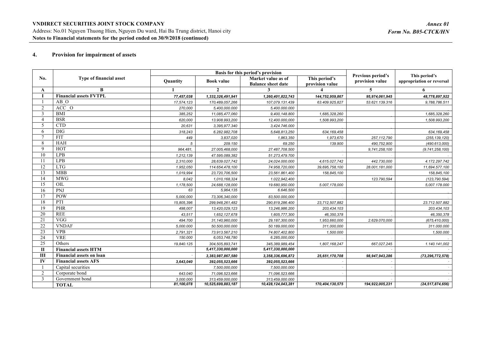#### **4. Provision for impairment of assets**

|                | Type of financial asset         | Basis for this period's provision |                    |                                                 |                                  | Previous period's | This period's             |
|----------------|---------------------------------|-----------------------------------|--------------------|-------------------------------------------------|----------------------------------|-------------------|---------------------------|
| No.            |                                 | Quantity                          | <b>Book value</b>  | Market value as of<br><b>Balance sheet date</b> | This period's<br>provision value | provision value   | appropriation or reversal |
| A              | B                               |                                   | $\mathbf{2}$       |                                                 |                                  | 5                 | 6                         |
|                | <b>Financial assets FVTPL</b>   | 77,457,038                        | 1,332,326,491,941  | 1,260,401,822,743                               | 144,752,959,867                  | 95,974,061,945    | 48,778,897,922            |
|                | AB O                            | 17,574,123                        | 170,489,057,266    | 107,079.131.439                                 | 63.409.925,827                   | 53.621.139.316    | 9,788,786.511             |
| $\overline{2}$ | ACC O                           | 270,000                           | 5,400,000.000      | 5,400.000.000                                   |                                  |                   |                           |
| 3              | <b>BMI</b>                      | 385,252                           | 11,085,477,060     | 9,400,148.800                                   | 1,685,328,260                    |                   | 1,685,328,260             |
| $\overline{4}$ | <b>BSR</b>                      | 620,000                           | 13.908.993,200     | 12,400.000,000                                  | 1,508.993,200                    |                   | 1,508.993,200             |
| 5              | <b>CTD</b>                      | 20,631                            | 3,395,977.340      | 3,424.746.000                                   |                                  |                   |                           |
| 6              | <b>DIG</b>                      | 318,243                           | 6.282.982,708      | 5,648,813,250                                   | 634, 169, 458                    |                   | 634,169,458               |
| $\mathcal{I}$  | <b>FIT</b>                      | 449                               | 3,837,020          | 1,863,350                                       | 1,973,670                        | 257,112,790       | (255, 139, 120)           |
| 8              | HAH                             | 5                                 | 209.150            | 69.250                                          | 139.900                          | 490,752,900       | (490.613,000)             |
| 9              | HOT                             | 964,481,                          | 27.005,468,000     | 27.487,708.500                                  |                                  | 9,741,258,100     | (9.741, 258, 100)         |
| 10             | LPB                             | 1,212,139                         | 47.595.089,382     | 51.273,479.700                                  |                                  |                   |                           |
| 11             | LPB                             | 2,310,000                         | 28,639.027,742     | 24,024.000.000                                  | 4,615.027,742                    | 442.730,000       | 4.172.297.742             |
| 12             | <b>LTG</b>                      | 1.952,050                         | 114.654,478,100    | 74.958,720,000                                  | 39,695,758,100                   | 28.001.181.000    | 11,694.577,100            |
| 13             | <b>MBB</b>                      | 1,019,994                         | 23,720,706,500     | 23,561.861,400                                  | 158,845,100                      |                   | 158,845,100               |
| 14             | <b>MWG</b>                      | 8.042                             | 1,010,168,324      | 1.022,942,400                                   |                                  | 123.790,594       | (123, 790.594)            |
| 15             | OIL                             | 1,178,500                         | 24,688,128,000     | 19.680,950.000                                  | 5.007,178,000                    |                   | 5,007.178.000             |
| 16             | PNJ                             | 63                                | 5,964,135          | 6.646.500                                       |                                  |                   |                           |
| 17             | POW                             | 5,000,000                         | 73,306,340,000     | 83,500.000,000                                  |                                  |                   |                           |
| 18             | PTI                             | 15,805,396                        | 299,948,261,482    | 290,819,286.400                                 | 23,712,507,882                   |                   | 23.712.507.882            |
| 19             | PHR                             | 498,007                           | 13,420,029,123     | 13,246,986.200                                  | 203,434.103                      |                   | 203.434,103               |
| 20             | <b>REE</b>                      | 43,517                            | 1,652,127,678      | 1,605,777,300                                   | 46,350,378                       |                   | 46,350,378                |
| 21             | <b>VGG</b>                      | 494.700                           | 31,140,960,000     | 29,187,300.000                                  | 1,953,660,000                    | 2.629.070,000     | (675, 410, 000)           |
| 22             | <b>VNDAF</b>                    | 5,000.000                         | 50.500,000.000     | 50.189,000,000                                  | 311,000,000                      |                   | 311.000.000               |
| 23             | <b>VPB</b>                      | 2,791,321                         | 73.913.567.210     | 74.807,402.800                                  | 1,500.000                        |                   | 1,500.000                 |
| 24             | <b>VRE</b>                      | 150.000                           | 6,053,748,780      | 6.285,000,000                                   |                                  |                   |                           |
| 25             | Others                          | 19,840.125                        | 304,505,893,741    | 345,389,989,454                                 | 1,807,168,247                    | 667,027,245       | 1.140.141,002             |
| $\mathbf{I}$   | <b>Financial assets HTM</b>     |                                   | 5,417,330,000,000  | 5,417,330,000,000                               |                                  |                   |                           |
| Ш              | <b>Financial assets on loan</b> |                                   | 3,383,987,867,580  | 3,358,336,696,872                               | 25,651,170,708                   | 98,947,943,286    | (73, 296, 772, 578)       |
| IV             | <b>Financial assets AFS</b>     | 3,643,040                         | 392,055,523,666    | 392,055,523,666                                 |                                  |                   |                           |
|                | Capital securities              |                                   | 7,500,000,000      | 7,500,000.000                                   |                                  |                   |                           |
| 2              | Corporate bond                  | 643.040                           | 71,096.523,666     | 71,096.523.666                                  |                                  |                   |                           |
| 3              | Government bond                 | 3.000.000                         | 313,459.000,000    | 313,459,000.000                                 |                                  |                   |                           |
|                | <b>TOTAL</b>                    | 81,100,078                        | 10,525,699,883,187 | 10,428,124,043,281                              | 170,404,130,575                  | 194,922,005,231   | (24, 517, 874, 656)       |